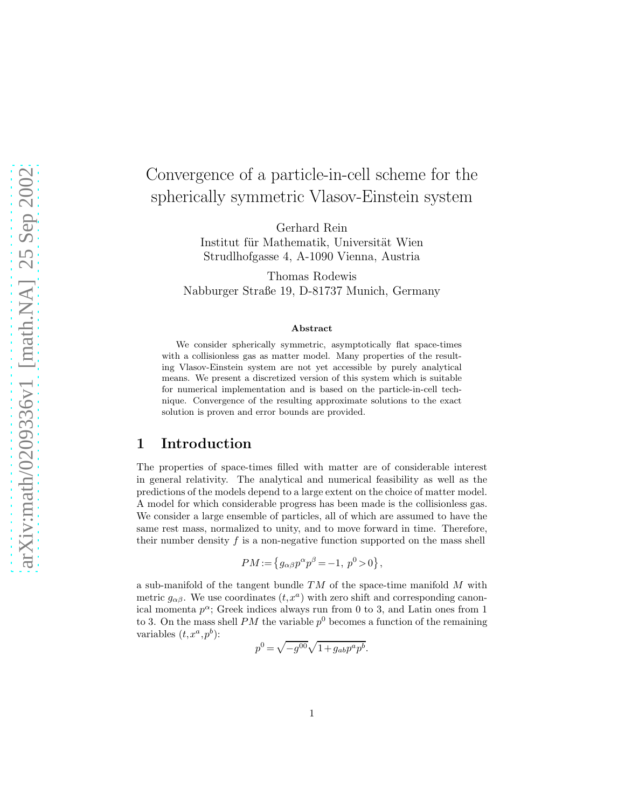# Convergence of a particle-in-cell scheme for the spherically symmetric Vlasov-Einstein system

Gerhard Rein Institut für Mathematik, Universität Wien Strudlhofgasse 4, A-1090 Vienna, Austria

Thomas Rodewis Nabburger Straße 19, D-81737 Munich, Germany

#### Abstract

We consider spherically symmetric, asymptotically flat space-times with a collisionless gas as matter model. Many properties of the resulting Vlasov-Einstein system are not yet accessible by purely analytical means. We present a discretized version of this system which is suitable for numerical implementation and is based on the particle-in-cell technique. Convergence of the resulting approximate solutions to the exact solution is proven and error bounds are provided.

## 1 Introduction

The properties of space-times filled with matter are of considerable interest in general relativity. The analytical and numerical feasibility as well as the predictions of the models depend to a large extent on the choice of matter model. A model for which considerable progress has been made is the collisionless gas. We consider a large ensemble of particles, all of which are assumed to have the same rest mass, normalized to unity, and to move forward in time. Therefore, their number density  $f$  is a non-negative function supported on the mass shell

$$
PM := \left\{ g_{\alpha\beta} p^{\alpha} p^{\beta} = -1, \ p^0 > 0 \right\},\
$$

a sub-manifold of the tangent bundle  $TM$  of the space-time manifold  $M$  with metric  $g_{\alpha\beta}$ . We use coordinates  $(t, x^a)$  with zero shift and corresponding canonical momenta  $p^{\alpha}$ ; Greek indices always run from 0 to 3, and Latin ones from 1 to 3. On the mass shell  $PM$  the variable  $p^0$  becomes a function of the remaining variables  $(t, x^a, p^b)$ :

$$
p^0 = \sqrt{-g^{00}}\sqrt{1 + g_{ab}p^a p^b}.
$$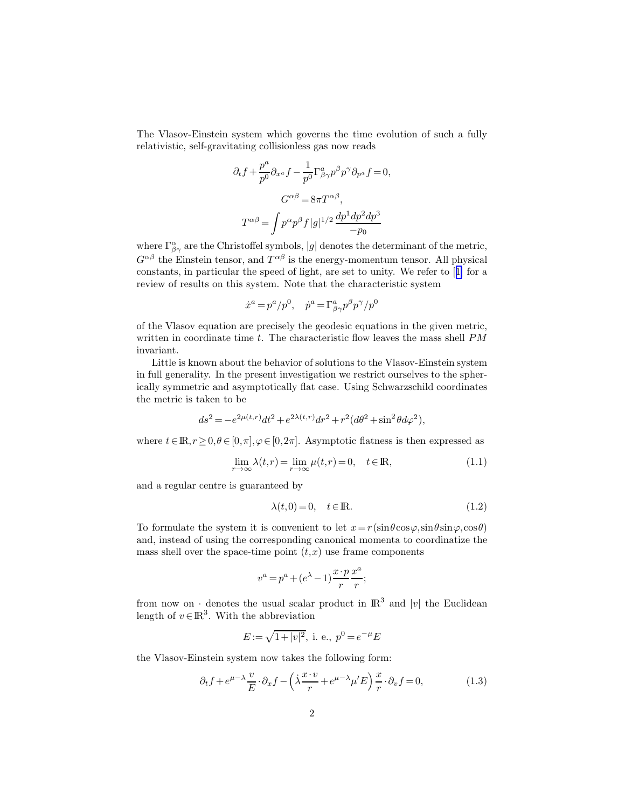<span id="page-1-0"></span>The Vlasov-Einstein system which governs the time evolution of such a fully relativistic, self-gravitating collisionless gas now reads

$$
\partial_t f + \frac{p^a}{p^0} \partial_{x^a} f - \frac{1}{p^0} \Gamma^a_{\beta\gamma} p^\beta p^\gamma \partial_{p^a} f = 0,
$$
  

$$
G^{\alpha\beta} = 8\pi T^{\alpha\beta},
$$
  

$$
T^{\alpha\beta} = \int p^\alpha p^\beta f |g|^{1/2} \frac{dp^1 dp^2 dp^3}{-p_0}
$$

where  $\Gamma^{\alpha}_{\beta\gamma}$  are the Christoffel symbols, |g| denotes the determinant of the metric,  $G^{\alpha\beta}$  the Einstein tensor, and  $T^{\alpha\beta}$  is the energy-momentum tensor. All physical constants, in particular the speed of light, are set to unity. We refer to[[1\]](#page-35-0) for a review of results on this system. Note that the characteristic system

$$
\dot{x}^a=p^a/p^0,\quad \dot{p}^a=\Gamma^a_{\beta\gamma}p^\beta p^\gamma/p^0
$$

of the Vlasov equation are precisely the geodesic equations in the given metric, written in coordinate time  $t$ . The characteristic flow leaves the mass shell  $PM$ invariant.

Little is known about the behavior of solutions to the Vlasov-Einstein system in full generality. In the present investigation we restrict ourselves to the spherically symmetric and asymptotically flat case. Using Schwarzschild coordinates the metric is taken to be

$$
ds^{2} = -e^{2\mu(t,r)}dt^{2} + e^{2\lambda(t,r)}dr^{2} + r^{2}(d\theta^{2} + \sin^{2}\theta d\varphi^{2}),
$$

where  $t \in \mathbb{R}, r \geq 0, \theta \in [0, \pi], \varphi \in [0, 2\pi]$ . Asymptotic flatness is then expressed as

$$
\lim_{r \to \infty} \lambda(t, r) = \lim_{r \to \infty} \mu(t, r) = 0, \quad t \in \mathbb{R},
$$
\n(1.1)

and a regular centre is guaranteed by

$$
\lambda(t,0) = 0, \quad t \in \mathbb{R}.\tag{1.2}
$$

To formulate the system it is convenient to let  $x=r(\sin\theta\cos\varphi,\sin\theta\sin\varphi,\cos\theta)$ and, instead of using the corresponding canonical momenta to coordinatize the mass shell over the space-time point  $(t, x)$  use frame components

$$
v^{a} = p^{a} + (e^{\lambda} - 1) \frac{x \cdot p}{r} \frac{x^{a}}{r};
$$

from now on  $\cdot$  denotes the usual scalar product in  $\mathbb{R}^3$  and |v| the Euclidean length of  $v \in \mathbb{R}^3$ . With the abbreviation

$$
E := \sqrt{1 + |v|^2}, \text{ i. e., } p^0 = e^{-\mu}E
$$

the Vlasov-Einstein system now takes the following form:

$$
\partial_t f + e^{\mu - \lambda} \frac{v}{E} \cdot \partial_x f - \left(\lambda \frac{x \cdot v}{r} + e^{\mu - \lambda} \mu' E\right) \frac{x}{r} \cdot \partial_v f = 0, \tag{1.3}
$$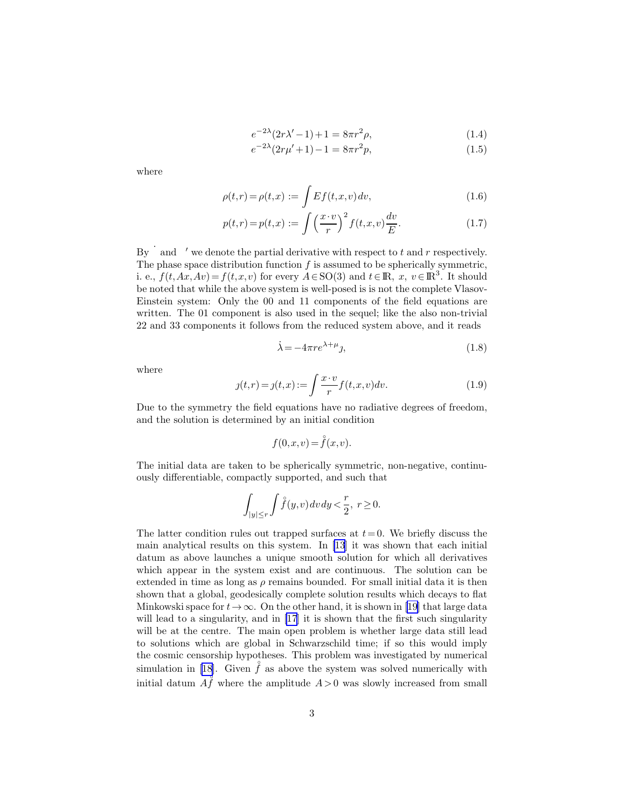$$
e^{-2\lambda}(2r\lambda' - 1) + 1 = 8\pi r^2 \rho,
$$
\n(1.4)

$$
e^{-2\lambda}(2r\mu'+1) - 1 = 8\pi r^2 p,\tag{1.5}
$$

<span id="page-2-0"></span>where

$$
\rho(t,r) = \rho(t,x) := \int Ef(t,x,v) dv,
$$
\n(1.6)

$$
p(t,r) = p(t,x) := \int \left(\frac{x \cdot v}{r}\right)^2 f(t,x,v) \frac{dv}{E}.
$$
 (1.7)

By  $\dot{ }$  and  $\dot{ }$  we denote the partial derivative with respect to t and r respectively. The phase space distribution function  $f$  is assumed to be spherically symmetric, i. e.,  $f(t, Ax, Av) = f(t, x, v)$  for every  $A \in SO(3)$  and  $t \in \mathbb{R}, x, v \in \mathbb{R}^3$ . It should be noted that while the above system is well-posed is is not the complete Vlasov-Einstein system: Only the 00 and 11 components of the field equations are written. The 01 component is also used in the sequel; like the also non-trivial 22 and 33 components it follows from the reduced system above, and it reads

$$
\dot{\lambda} = -4\pi r e^{\lambda + \mu} \mathbf{j},\tag{1.8}
$$

where

$$
j(t,r) = j(t,x) := \int \frac{x \cdot v}{r} f(t,x,v) dv.
$$
\n(1.9)

Due to the symmetry the field equations have no radiative degrees of freedom, and the solution is determined by an initial condition

$$
f(0, x, v) = \overset{\circ}{f}(x, v).
$$

The initial data are taken to be spherically symmetric, non-negative, continuously differentiable, compactly supported, and such that

$$
\int_{|y|\le r}\int \mathring{f}(y,v)\,dv\,dy<\frac{r}{2},\ r\ge 0.
$$

The latter condition rules out trapped surfaces at  $t=0$ . We briefly discuss the main analytical results on this system. In [\[13](#page-36-0)] it was shown that each initial datum as above launches a unique smooth solution for which all derivatives which appear in the system exist and are continuous. The solution can be extended in time as long as  $\rho$  remains bounded. For small initial data it is then shown that a global, geodesically complete solution results which decays to flat Minkowski space for  $t\to\infty$ . On the other hand, it is shown in [\[19](#page-36-0)] that large data will lead to a singularity, and in [\[17](#page-36-0)] it is shown that the first such singularity will be at the centre. The main open problem is whether large data still lead to solutions which are global in Schwarzschild time; if so this would imply the cosmic censorship hypotheses. This problem was investigated by numerical simulationin [[18\]](#page-36-0). Given  $\hat{f}$  as above the system was solved numerically with initial datum  $A \hat{f}$  where the amplitude  $A > 0$  was slowly increased from small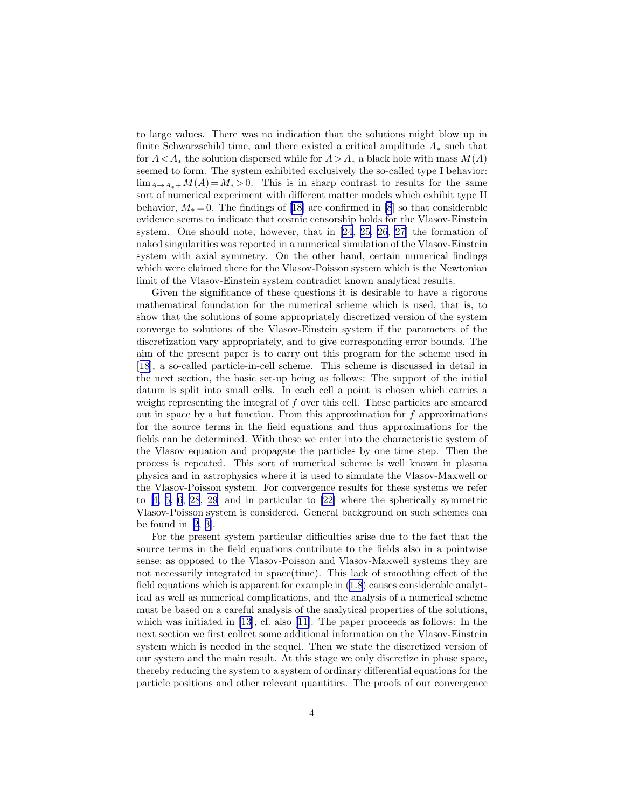to large values. There was no indication that the solutions might blow up in finite Schwarzschild time, and there existed a critical amplitude  $A_*$  such that for  $A < A_*$  the solution dispersed while for  $A > A_*$  a black hole with mass  $M(A)$ seemed to form. The system exhibited exclusively the so-called type I behavior:  $\lim_{A\to A_*+} M(A) = M_* > 0$ . This is in sharp contrast to results for the same sort of numerical experiment with different matter models which exhibit type II behavior,  $M_* = 0$ . The findings of [\[18](#page-36-0)] are confirmed in [\[8](#page-35-0)] so that considerable evidence seems to indicate that cosmic censorship holds for the Vlasov-Einstein system. One should note, however, that in[[24, 25, 26](#page-36-0), [27](#page-36-0)] the formation of naked singularities was reported in a numerical simulation of the Vlasov-Einstein system with axial symmetry. On the other hand, certain numerical findings which were claimed there for the Vlasov-Poisson system which is the Newtonian limit of the Vlasov-Einstein system contradict known analytical results.

Given the significance of these questions it is desirable to have a rigorous mathematical foundation for the numerical scheme which is used, that is, to show that the solutions of some appropriately discretized version of the system converge to solutions of the Vlasov-Einstein system if the parameters of the discretization vary appropriately, and to give corresponding error bounds. The aim of the present paper is to carry out this program for the scheme used in [[18\]](#page-36-0), a so-called particle-in-cell scheme. This scheme is discussed in detail in the next section, the basic set-up being as follows: The support of the initial datum is split into small cells. In each cell a point is chosen which carries a weight representing the integral of f over this cell. These particles are smeared out in space by a hat function. From this approximation for  $f$  approximations for the source terms in the field equations and thus approximations for the fields can be determined. With these we enter into the characteristic system of the Vlasov equation and propagate the particles by one time step. Then the process is repeated. This sort of numerical scheme is well known in plasma physics and in astrophysics where it is used to simulate the Vlasov-Maxwell or the Vlasov-Poisson system. For convergence results for these systems we refer to[[4, 5, 6](#page-35-0), [28](#page-37-0), [29](#page-37-0)] and in particular to [\[22\]](#page-36-0) where the spherically symmetric Vlasov-Poisson system is considered. General background on such schemes can be found in[[2, 3\]](#page-35-0).

For the present system particular difficulties arise due to the fact that the source terms in the field equations contribute to the fields also in a pointwise sense; as opposed to the Vlasov-Poisson and Vlasov-Maxwell systems they are not necessarily integrated in space(time). This lack of smoothing effect of the field equations which is apparent for example in [\(1.8](#page-2-0)) causes considerable analytical as well as numerical complications, and the analysis of a numerical scheme must be based on a careful analysis of the analytical properties of the solutions, which was initiated in [\[13](#page-36-0)], cf. also[[11\]](#page-35-0). The paper proceeds as follows: In the next section we first collect some additional information on the Vlasov-Einstein system which is needed in the sequel. Then we state the discretized version of our system and the main result. At this stage we only discretize in phase space, thereby reducing the system to a system of ordinary differential equations for the particle positions and other relevant quantities. The proofs of our convergence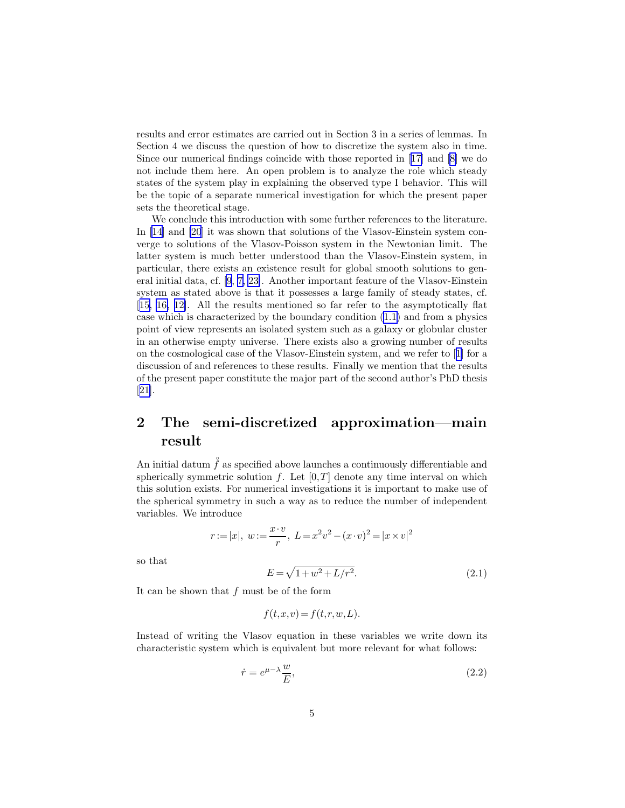<span id="page-4-0"></span>results and error estimates are carried out in Section 3 in a series of lemmas. In Section 4 we discuss the question of how to discretize the system also in time. Since our numerical findings coincide with those reported in[[17\]](#page-36-0) and[[8](#page-35-0)] we do not include them here. An open problem is to analyze the role which steady states of the system play in explaining the observed type I behavior. This will be the topic of a separate numerical investigation for which the present paper sets the theoretical stage.

We conclude this introduction with some further references to the literature. In [\[14\]](#page-36-0) and [\[20](#page-36-0)] it was shown that solutions of the Vlasov-Einstein system converge to solutions of the Vlasov-Poisson system in the Newtonian limit. The latter system is much better understood than the Vlasov-Einstein system, in particular, there exists an existence result for global smooth solutions to general initial data, cf. [\[9](#page-35-0), [7,](#page-35-0) [23\]](#page-36-0). Another important feature of the Vlasov-Einstein system as stated above is that it possesses a large family of steady states, cf. [[15, 16,](#page-36-0) [12\]](#page-35-0). All the results mentioned so far refer to the asymptotically flat case which is characterized by the boundary condition([1.1\)](#page-1-0) and from a physics point of view represents an isolated system such as a galaxy or globular cluster in an otherwise empty universe. There exists also a growing number of results on the cosmological case of the Vlasov-Einstein system, and we refer to[[1\]](#page-35-0) for a discussion of and references to these results. Finally we mention that the results of the present paper constitute the major part of the second author's PhD thesis [[21\]](#page-36-0).

## 2 The semi-discretized approximation—main result

An initial datum  $\mathring{f}$  as specified above launches a continuously differentiable and spherically symmetric solution f. Let  $[0,T]$  denote any time interval on which this solution exists. For numerical investigations it is important to make use of the spherical symmetry in such a way as to reduce the number of independent variables. We introduce

$$
r := |x|, w := \frac{x \cdot v}{r}, L = x^2 v^2 - (x \cdot v)^2 = |x \times v|^2
$$

so that

$$
E = \sqrt{1 + w^2 + L/r^2}.\tag{2.1}
$$

It can be shown that f must be of the form

$$
f(t, x, v) = f(t, r, w, L).
$$

Instead of writing the Vlasov equation in these variables we write down its characteristic system which is equivalent but more relevant for what follows:

$$
\dot{r} = e^{\mu - \lambda} \frac{w}{E},\tag{2.2}
$$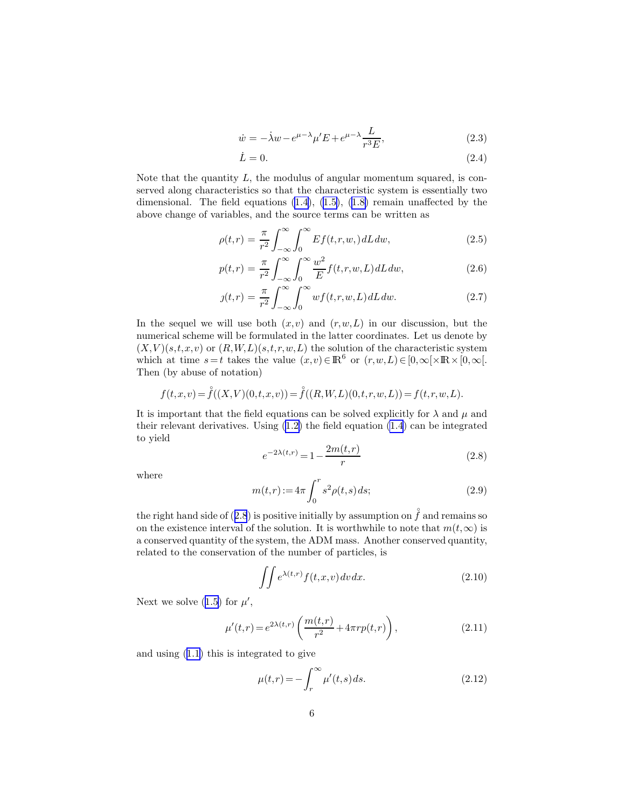$$
\dot{w} = -\dot{\lambda}w - e^{\mu - \lambda}\mu'E + e^{\mu - \lambda}\frac{L}{r^3E},\tag{2.3}
$$

$$
\dot{L} = 0.\tag{2.4}
$$

<span id="page-5-0"></span>Note that the quantity  $L$ , the modulus of angular momentum squared, is conserved along characteristics so that the characteristic system is essentially two dimensional.The field equations  $(1.4)$ ,  $(1.5)$  $(1.5)$ ,  $(1.8)$  $(1.8)$  remain unaffected by the above change of variables, and the source terms can be written as

$$
\rho(t,r) = \frac{\pi}{r^2} \int_{-\infty}^{\infty} \int_0^{\infty} Ef(t,r,w,) dL dw,
$$
\n(2.5)

$$
p(t,r) = \frac{\pi}{r^2} \int_{-\infty}^{\infty} \int_0^{\infty} \frac{w^2}{E} f(t,r,w,L) dL dw,
$$
\n(2.6)

$$
g(t,r) = \frac{\pi}{r^2} \int_{-\infty}^{\infty} \int_0^{\infty} w f(t,r,w,L) dL dw.
$$
 (2.7)

In the sequel we will use both  $(x, v)$  and  $(r, w, L)$  in our discussion, but the numerical scheme will be formulated in the latter coordinates. Let us denote by  $(X, V)(s,t,x,v)$  or  $(R, W, L)(s,t,r,w,L)$  the solution of the characteristic system which at time  $s = t$  takes the value  $(x, v) \in \mathbb{R}^6$  or  $(r, w, L) \in [0, \infty[ \times \mathbb{R} \times [0, \infty[$ . Then (by abuse of notation)

$$
f(t,x,v)=\overset{\circ}{f}((X,V)(0,t,x,v))=\overset{\circ}{f}((R,W,L)(0,t,r,w,L))=f(t,r,w,L).
$$

It is important that the field equations can be solved explicitly for  $\lambda$  and  $\mu$  and their relevant derivatives. Using([1.2\)](#page-1-0) the field equation [\(1.4](#page-2-0)) can be integrated to yield

$$
e^{-2\lambda(t,r)} = 1 - \frac{2m(t,r)}{r}
$$
 (2.8)

where

$$
m(t,r) := 4\pi \int_0^r s^2 \rho(t,s) \, ds; \tag{2.9}
$$

the right hand side of (2.8) is positive initially by assumption on  $\mathring{f}$  and remains so on the existence interval of the solution. It is worthwhile to note that  $m(t,\infty)$  is a conserved quantity of the system, the ADM mass. Another conserved quantity, related to the conservation of the number of particles, is

$$
\iint e^{\lambda(t,r)} f(t,x,v) \, dv \, dx. \tag{2.10}
$$

Next we solve [\(1.5\)](#page-2-0) for  $\mu'$ ,

$$
\mu'(t,r) = e^{2\lambda(t,r)} \left( \frac{m(t,r)}{r^2} + 4\pi r p(t,r) \right),\tag{2.11}
$$

and using [\(1.1\)](#page-1-0) this is integrated to give

$$
\mu(t,r) = -\int_{r}^{\infty} \mu'(t,s) \, ds. \tag{2.12}
$$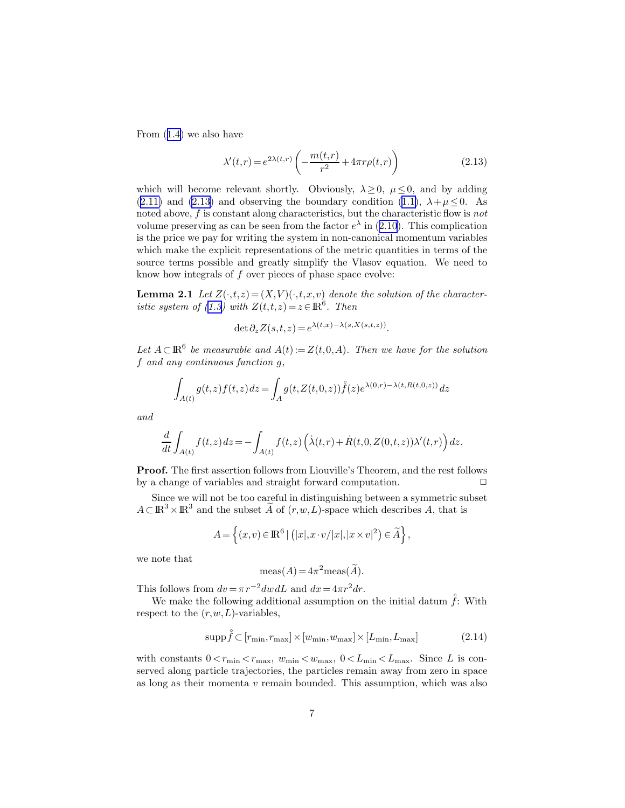<span id="page-6-0"></span>From([1.4\)](#page-2-0) we also have

$$
\lambda'(t,r) = e^{2\lambda(t,r)} \left( -\frac{m(t,r)}{r^2} + 4\pi r \rho(t,r) \right) \tag{2.13}
$$

which will become relevant shortly. Obviously,  $\lambda \geq 0$ ,  $\mu \leq 0$ , and by adding ([2.11\)](#page-5-0)and (2.13) and observing the boundary condition ([1.1\)](#page-1-0),  $\lambda + \mu \leq 0$ . As noted above,  $f$  is constant along characteristics, but the characteristic flow is not volumepreserving as can be seen from the factor  $e^{\lambda}$  in ([2.10](#page-5-0)). This complication is the price we pay for writing the system in non-canonical momentum variables which make the explicit representations of the metric quantities in terms of the source terms possible and greatly simplify the Vlasov equation. We need to know how integrals of  $f$  over pieces of phase space evolve:

**Lemma 2.1** Let  $Z(\cdot,t,z) = (X,V)(\cdot,t,x,v)$  denote the solution of the character-isticsystem of ([1.3\)](#page-1-0) with  $Z(t,t,z) = z \in \mathbb{R}^6$ . Then

$$
\det \partial_z Z(s,t,z) = e^{\lambda(t,x) - \lambda(s,X(s,t,z))}.
$$

Let  $A \subset \mathbb{R}^6$  be measurable and  $A(t) := Z(t,0,A)$ . Then we have for the solution f and any continuous function g,

$$
\int_{A(t)} g(t,z)f(t,z) dz = \int_A g(t,Z(t,0,z))\mathring{f}(z)e^{\lambda(0,r) - \lambda(t,R(t,0,z))} dz
$$

and

$$
\frac{d}{dt} \int_{A(t)} f(t, z) dz = - \int_{A(t)} f(t, z) \left( \dot{\lambda}(t, r) + \dot{R}(t, 0, Z(0, t, z)) \lambda'(t, r) \right) dz.
$$

Proof. The first assertion follows from Liouville's Theorem, and the rest follows by a change of variables and straight forward computation.  $\Box$ 

Since we will not be too careful in distinguishing between a symmetric subset  $A \subset \mathbb{R}^3 \times \mathbb{R}^3$  and the subset  $\widetilde{A}$  of  $(r, w, L)$ -space which describes A, that is

$$
A = \left\{ (x, v) \in \mathbb{R}^6 \mid (|x|, x \cdot v/|x|, |x \times v|^2) \in \widetilde{A} \right\},\
$$

we note that

$$
\text{meas}(A) = 4\pi^2 \text{meas}(\widetilde{A}).
$$

This follows from  $dv = \pi r^{-2} dw dL$  and  $dx = 4\pi r^2 dr$ .

We make the following additional assumption on the initial datum  $\hat{f}$ : With respect to the  $(r, w, L)$ -variables,

$$
\operatorname{supp} \mathring{f} \subset [r_{\min}, r_{\max}] \times [w_{\min}, w_{\max}] \times [L_{\min}, L_{\max}] \tag{2.14}
$$

with constants  $0 < r_{\min} < r_{\max}$ ,  $w_{\min} < w_{\max}$ ,  $0 < L_{\min} < L_{\max}$ . Since L is conserved along particle trajectories, the particles remain away from zero in space as long as their momenta  $v$  remain bounded. This assumption, which was also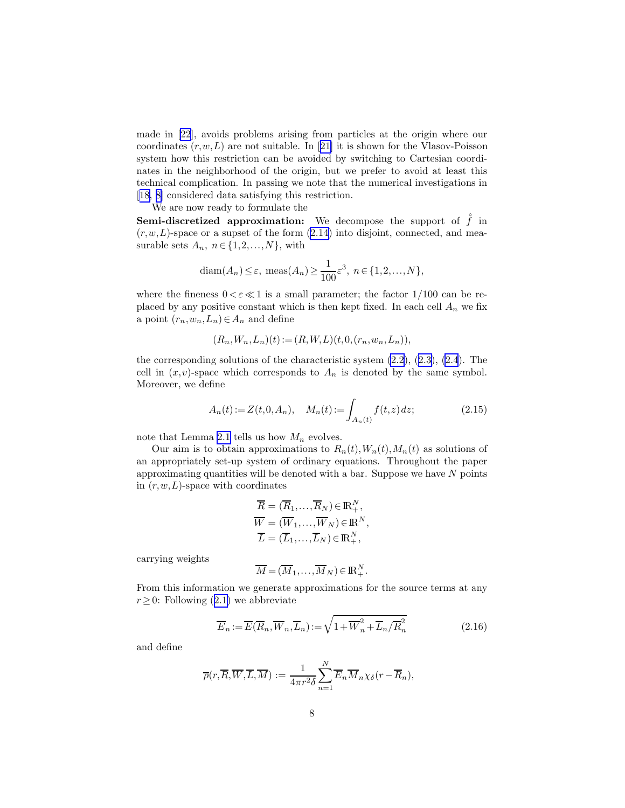<span id="page-7-0"></span>made in [\[22](#page-36-0)], avoids problems arising from particles at the origin where our coordinates $(r, w, L)$  are not suitable. In [[21\]](#page-36-0) it is shown for the Vlasov-Poisson system how this restriction can be avoided by switching to Cartesian coordinates in the neighborhood of the origin, but we prefer to avoid at least this technical complication. In passing we note that the numerical investigations in [[18,](#page-36-0) [8\]](#page-35-0) considered data satisfying this restriction.

We are now ready to formulate the

**Semi-discretized approximation:** We decompose the support of  $\hat{f}$  in  $(r, w, L)$ -space or a supset of the form  $(2.14)$  into disjoint, connected, and measurable sets  $A_n$ ,  $n \in \{1, 2, ..., N\}$ , with

$$
diam(A_n) \le \varepsilon, meas(A_n) \ge \frac{1}{100}\varepsilon^3, n \in \{1, 2, ..., N\},\
$$

where the fineness  $0 < \varepsilon \ll 1$  is a small parameter; the factor  $1/100$  can be replaced by any positive constant which is then kept fixed. In each cell  $A_n$  we fix a point  $(r_n, w_n, L_n) \in A_n$  and define

$$
(R_n, W_n, L_n)(t) := (R, W, L)(t, 0, (r_n, w_n, L_n)),
$$

the corresponding solutions of the characteristic system [\(2.2](#page-4-0)),([2.3\)](#page-4-0), [\(2.4](#page-4-0)). The cell in  $(x, v)$ -space which corresponds to  $A_n$  is denoted by the same symbol. Moreover, we define

$$
A_n(t) := Z(t, 0, A_n), \quad M_n(t) := \int_{A_n(t)} f(t, z) dz;
$$
\n(2.15)

note that Lemma [2.1](#page-6-0) tells us how  $M_n$  evolves.

Our aim is to obtain approximations to  $R_n(t)$ ,  $W_n(t)$ ,  $M_n(t)$  as solutions of an appropriately set-up system of ordinary equations. Throughout the paper approximating quantities will be denoted with a bar. Suppose we have  $N$  points in  $(r, w, L)$ -space with coordinates

$$
\overline{R} = (\overline{R}_1, \dots, \overline{R}_N) \in \mathbb{R}_+^N, \n\overline{W} = (\overline{W}_1, \dots, \overline{W}_N) \in \mathbb{R}^N, \n\overline{L} = (\overline{L}_1, \dots, \overline{L}_N) \in \mathbb{R}_+^N,
$$

carrying weights

$$
\overline{M} = (\overline{M}_1, \dots, \overline{M}_N) \in \mathbb{R}_+^N.
$$

From this information we generate approximations for the source terms at any  $r \geq 0$  $r \geq 0$  $r \geq 0$ : Following ([2.1\)](#page-4-0) we abbreviate

$$
\overline{E}_n := \overline{E}(\overline{R}_n, \overline{W}_n, \overline{L}_n) := \sqrt{1 + \overline{W}_n^2 + \overline{L}_n / \overline{R}_n^2}
$$
(2.16)

and define

$$
\overline{\rho}(r,\overline{R},\overline{W},\overline{L},\overline{M}) := \frac{1}{4\pi r^2 \delta} \sum_{n=1}^{N} \overline{E}_n \overline{M}_n \chi_{\delta}(r - \overline{R}_n),
$$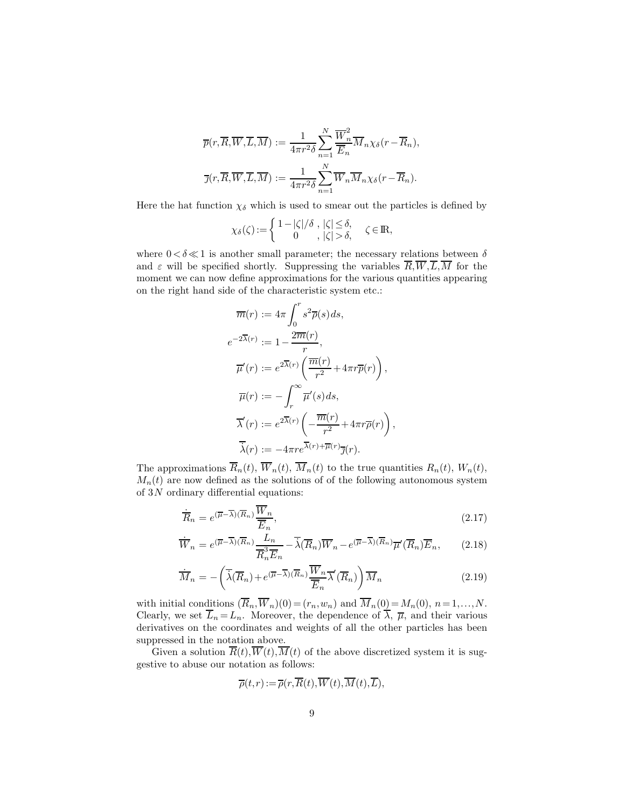<span id="page-8-0"></span>
$$
\overline{p}(r,\overline{R},\overline{W},\overline{L},\overline{M}) := \frac{1}{4\pi r^2 \delta} \sum_{n=1}^N \frac{\overline{W}_n^2}{\overline{E}_n} \overline{M}_n \chi_{\delta}(r - \overline{R}_n),
$$
  

$$
\overline{\jmath}(r,\overline{R},\overline{W},\overline{L},\overline{M}) := \frac{1}{4\pi r^2 \delta} \sum_{n=1}^N \overline{W}_n \overline{M}_n \chi_{\delta}(r - \overline{R}_n).
$$

Here the hat function  $\chi_{\delta}$  which is used to smear out the particles is defined by

$$
\chi_\delta(\zeta) := \left\{ \begin{array}{c} 1-|\zeta|/\delta \ , \ |\zeta| \leq \delta, \\ 0 \qquad , \ |\zeta| > \delta, \end{array} \right. \quad \zeta \in {\rm I\! R},
$$

where  $0 < \delta \ll 1$  is another small parameter; the necessary relations between  $\delta$ and  $\varepsilon$  will be specified shortly. Suppressing the variables  $\overline{R}, \overline{W}, \overline{L}, \overline{M}$  for the moment we can now define approximations for the various quantities appearing on the right hand side of the characteristic system etc.:

$$
\overline{m}(r) := 4\pi \int_0^r s^2 \overline{\rho}(s) ds,
$$
  
\n
$$
e^{-2\overline{\lambda}(r)} := 1 - \frac{2\overline{m}(r)}{r},
$$
  
\n
$$
\overline{\mu}'(r) := e^{2\overline{\lambda}(r)} \left( \frac{\overline{m}(r)}{r^2} + 4\pi r \overline{p}(r) \right),
$$
  
\n
$$
\overline{\mu}(r) := -\int_r^\infty \overline{\mu}'(s) ds,
$$
  
\n
$$
\overline{\lambda}'(r) := e^{2\overline{\lambda}(r)} \left( -\frac{\overline{m}(r)}{r^2} + 4\pi r \overline{\rho}(r) \right),
$$
  
\n
$$
\overline{\lambda}(r) := -4\pi r e^{\overline{\lambda}(r) + \overline{\mu}(r)} \overline{\jmath}(r).
$$

The approximations  $\overline{R}_n(t)$ ,  $\overline{W}_n(t)$ ,  $\overline{M}_n(t)$  to the true quantities  $R_n(t)$ ,  $W_n(t)$ ,  $M_n(t)$  are now defined as the solutions of of the following autonomous system of  $3N$  ordinary differential equations:

$$
\dot{\overline{R}}_n = e^{(\overline{\mu} - \overline{\lambda})(\overline{R}_n)} \frac{\overline{W}_n}{\overline{E}_n},
$$
\n(2.17)

$$
\dot{\overline{W}}_n = e^{(\overline{\mu}-\overline{\lambda})(\overline{R}_n)} \frac{L_n}{\overline{R}_n^3 \overline{E}_n} - \overline{\dot{\lambda}}(\overline{R}_n) \overline{W}_n - e^{(\overline{\mu}-\overline{\lambda})(\overline{R}_n)} \overline{\mu}'(\overline{R}_n) \overline{E}_n, \qquad (2.18)
$$

$$
\dot{\overline{M}}_n = -\left(\overline{\lambda}(\overline{R}_n) + e^{(\overline{\mu}-\overline{\lambda})(\overline{R}_n)} \frac{\overline{W}_n}{\overline{E}_n} \overline{\lambda}'(\overline{R}_n)\right) \overline{M}_n
$$
\n(2.19)

with initial conditions  $(\overline{R}_n, \overline{W}_n)(0) = (r_n, w_n)$  and  $\overline{M}_n(0) = M_n(0), n = 1, ..., N$ . Clearly, we set  $\overline{L}_n = L_n$ . Moreover, the dependence of  $\overline{\lambda}$ ,  $\overline{\mu}$ , and their various derivatives on the coordinates and weights of all the other particles has been suppressed in the notation above.

Given a solution  $\overline{R}(t),\overline{W}(t),\overline{M}(t)$  of the above discretized system it is suggestive to abuse our notation as follows:

$$
\overline{\rho}(t,r):=\overline{\rho}(r,\overline{R}(t),\overline{W}(t),\overline{M}(t),\overline{L}),
$$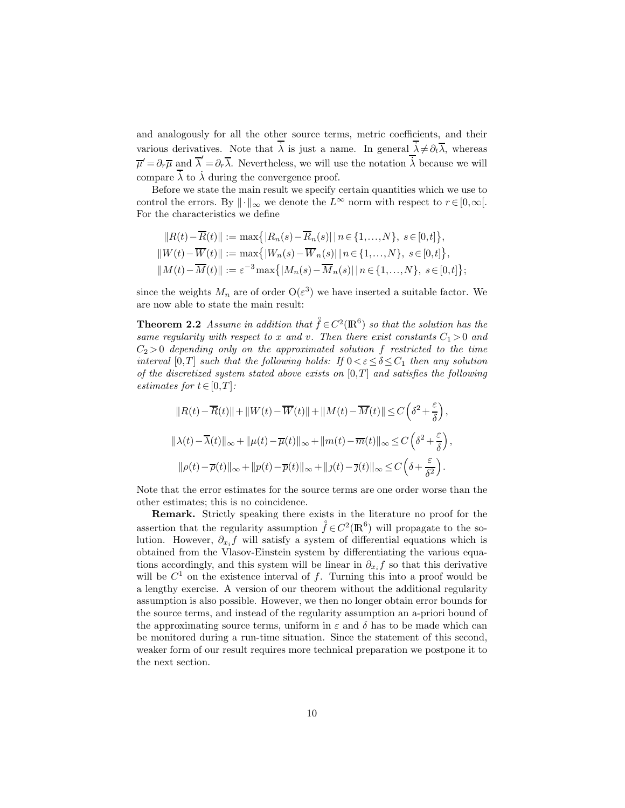<span id="page-9-0"></span>and analogously for all the other source terms, metric coefficients, and their various derivatives. Note that  $\lambda$  is just a name. In general  $\lambda \neq \partial_t \overline{\lambda}$ , whereas  $\overline{\mu}' = \partial_r \overline{\mu}$  and  $\overline{\lambda}' = \partial_r \overline{\lambda}$ . Nevertheless, we will use the notation  $\overline{\lambda}$  because we will compare  $\lambda$  to  $\lambda$  during the convergence proof.

Before we state the main result we specify certain quantities which we use to control the errors. By  $\|\cdot\|_{\infty}$  we denote the  $L^{\infty}$  norm with respect to  $r \in [0,\infty[$ . For the characteristics we define

$$
||R(t) - \overline{R}(t)|| := \max\{|R_n(s) - \overline{R}_n(s)|| \ n \in \{1, ..., N\}, \ s \in [0, t]\},
$$
  
\n
$$
||W(t) - \overline{W}(t)|| := \max\{|W_n(s) - \overline{W}_n(s)|| \ n \in \{1, ..., N\}, \ s \in [0, t]\},
$$
  
\n
$$
||M(t) - \overline{M}(t)|| := \varepsilon^{-3} \max\{|M_n(s) - \overline{M}_n(s)|| \ n \in \{1, ..., N\}, \ s \in [0, t]\};
$$

since the weights  $M_n$  are of order  $O(\varepsilon^3)$  we have inserted a suitable factor. We are now able to state the main result:

**Theorem 2.2** Assume in addition that  $\hat{f} \in C^2(\mathbb{R}^6)$  so that the solution has the same regularity with respect to x and v. Then there exist constants  $C_1 > 0$  and  $C_2 > 0$  depending only on the approximated solution f restricted to the time interval [0,T] such that the following holds: If  $0 < \varepsilon \le \delta \le C_1$  then any solution of the discretized system stated above exists on  $[0,T]$  and satisfies the following estimates for  $t \in [0,T]$ :

$$
||R(t) - \overline{R}(t)|| + ||W(t) - \overline{W}(t)|| + ||M(t) - \overline{M}(t)|| \le C\left(\delta^2 + \frac{\varepsilon}{\delta}\right),
$$
  

$$
||\lambda(t) - \overline{\lambda}(t)||_{\infty} + ||\mu(t) - \overline{\mu}(t)||_{\infty} + ||m(t) - \overline{m}(t)||_{\infty} \le C\left(\delta^2 + \frac{\varepsilon}{\delta}\right),
$$
  

$$
||\rho(t) - \overline{\rho}(t)||_{\infty} + ||p(t) - \overline{p}(t)||_{\infty} + ||\jmath(t) - \overline{\jmath}(t)||_{\infty} \le C\left(\delta + \frac{\varepsilon}{\delta^2}\right).
$$

Note that the error estimates for the source terms are one order worse than the other estimates; this is no coincidence.

Remark. Strictly speaking there exists in the literature no proof for the assertion that the regularity assumption  $\mathring{f} \in C^2(\mathbb{R}^6)$  will propagate to the solution. However,  $\partial_{x_i} f$  will satisfy a system of differential equations which is obtained from the Vlasov-Einstein system by differentiating the various equations accordingly, and this system will be linear in  $\partial_{x_i} f$  so that this derivative will be  $C^1$  on the existence interval of f. Turning this into a proof would be a lengthy exercise. A version of our theorem without the additional regularity assumption is also possible. However, we then no longer obtain error bounds for the source terms, and instead of the regularity assumption an a-priori bound of the approximating source terms, uniform in  $\varepsilon$  and  $\delta$  has to be made which can be monitored during a run-time situation. Since the statement of this second, weaker form of our result requires more technical preparation we postpone it to the next section.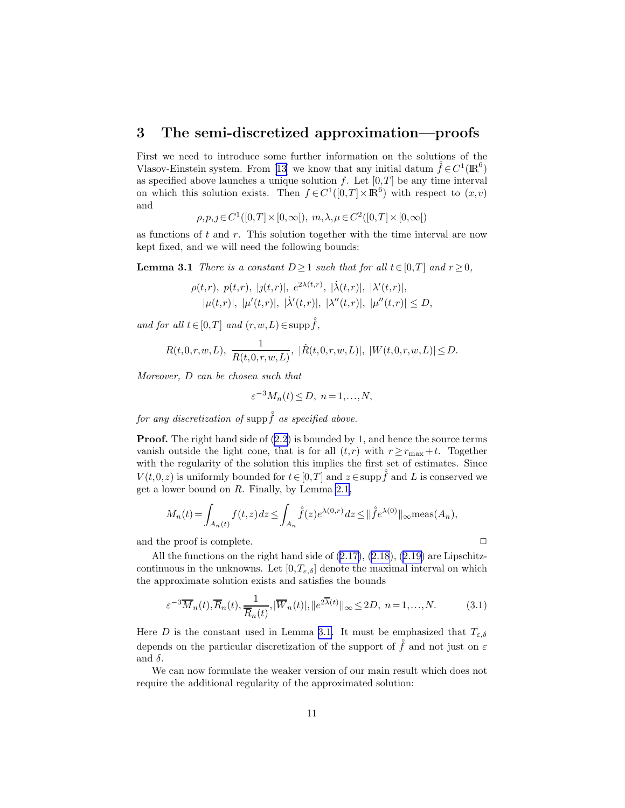### <span id="page-10-0"></span>3 The semi-discretized approximation—proofs

First we need to introduce some further information on the solutions of the Vlasov-Einsteinsystem. From [[13\]](#page-36-0) we know that any initial datum  $\ddot{f} \in C^1(\mathbb{R}^6)$ as specified above launches a unique solution  $f$ . Let  $[0,T]$  be any time interval on which this solution exists. Then  $f \in C^1([0,T] \times \mathbb{R}^6)$  with respect to  $(x, v)$ and

 $\rho, p, \jmath \in C^1([0,T] \times [0,\infty[), m, \lambda, \mu \in C^2([0,T] \times [0,\infty[))$ 

as functions of  $t$  and  $r$ . This solution together with the time interval are now kept fixed, and we will need the following bounds:

**Lemma 3.1** There is a constant  $D \ge 1$  such that for all  $t \in [0,T]$  and  $r \ge 0$ ,

$$
\rho(t,r), p(t,r), |j(t,r)|, e^{2\lambda(t,r)}, |\dot{\lambda}(t,r)|, |\lambda'(t,r)|,|\mu(t,r)|, |\mu'(t,r)|, |\dot{\lambda}'(t,r)|, |\lambda''(t,r)|, |\mu''(t,r)| \le D,
$$

and for all  $t \in [0,T]$  and  $(r, w, L) \in \text{supp} \hat{f}$ ,

$$
R(t,0,r,w,L),\ \frac{1}{R(t,0,r,w,L)},\ |\dot{R}(t,0,r,w,L)|,\ |W(t,0,r,w,L)|\leq D.
$$

Moreover, D can be chosen such that

$$
\varepsilon^{-3} M_n(t) \le D, \ n = 1, \dots, N,
$$

for any discretization of supp  $\overset{\circ}{f}$  as specified above.

**Proof.**The right hand side of  $(2.2)$  $(2.2)$  is bounded by 1, and hence the source terms vanish outside the light cone, that is for all  $(t,r)$  with  $r \geq r_{\text{max}} + t$ . Together with the regularity of the solution this implies the first set of estimates. Since  $V(t,0,z)$  is uniformly bounded for  $t \in [0,T]$  and  $z \in \text{supp } f$  and L is conserved we get a lower bound on R. Finally, by Lemma [2.1](#page-6-0),

$$
M_n(t) = \int_{A_n(t)} f(t, z) dz \le \int_{A_n} \mathring{f}(z) e^{\lambda(0, r)} dz \le ||\mathring{f} e^{\lambda(0)}||_{\infty} \text{meas}(A_n),
$$

and the proof is complete.  $\Box$ 

All the functions on the right hand side of [\(2.17\)](#page-8-0), [\(2.18\)](#page-8-0),([2.19\)](#page-8-0) are Lipschitzcontinuous in the unknowns. Let  $[0, T_{\varepsilon,\delta}]$  denote the maximal interval on which the approximate solution exists and satisfies the bounds

$$
\varepsilon^{-3}\overline{M}_n(t), \overline{R}_n(t), \frac{1}{\overline{R}_n(t)}, |\overline{W}_n(t)|, \|e^{2\overline{\lambda}(t)}\|_{\infty} \le 2D, \ n = 1, \dots, N. \tag{3.1}
$$

Here D is the constant used in Lemma 3.1. It must be emphasized that  $T_{\varepsilon,\delta}$ depends on the particular discretization of the support of  $\hat{f}$  and not just on  $\varepsilon$ and  $\delta$ .

We can now formulate the weaker version of our main result which does not require the additional regularity of the approximated solution: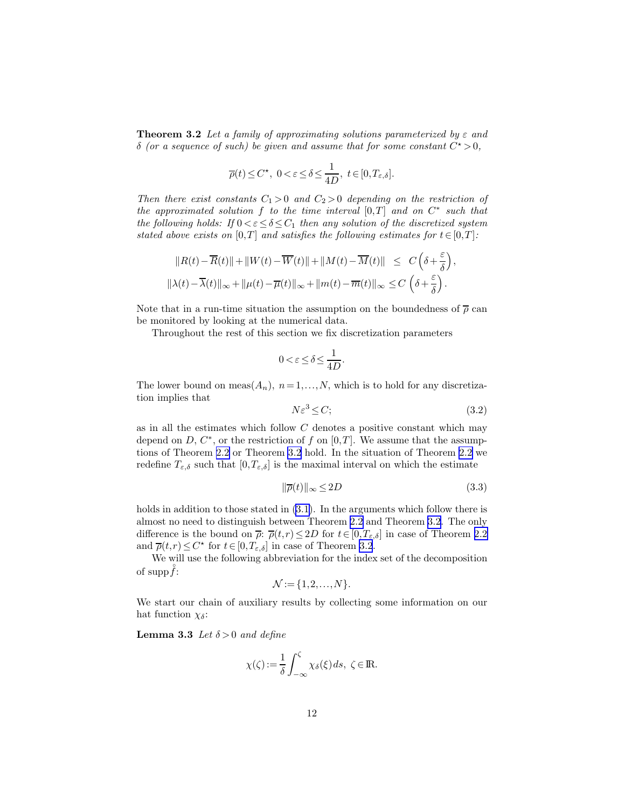<span id="page-11-0"></span>**Theorem 3.2** Let a family of approximating solutions parameterized by  $\varepsilon$  and  $\delta$  (or a sequence of such) be given and assume that for some constant  $C^* > 0$ ,

$$
\overline{\rho}(t) \le C^\star, \ 0 < \varepsilon \le \delta \le \frac{1}{4D}, \ t \in [0, T_{\varepsilon, \delta}].
$$

Then there exist constants  $C_1 > 0$  and  $C_2 > 0$  depending on the restriction of the approximated solution  $f$  to the time interval  $[0,T]$  and on  $C^*$  such that the following holds: If  $0 < \varepsilon \leq \delta \leq C_1$  then any solution of the discretized system stated above exists on [0,T] and satisfies the following estimates for  $t \in [0,T]$ :

$$
||R(t) - \overline{R}(t)|| + ||W(t) - \overline{W}(t)|| + ||M(t) - \overline{M}(t)|| \leq C\left(\delta + \frac{\varepsilon}{\delta}\right),
$$
  

$$
||\lambda(t) - \overline{\lambda}(t)||_{\infty} + ||\mu(t) - \overline{\mu}(t)||_{\infty} + ||m(t) - \overline{m}(t)||_{\infty} \leq C\left(\delta + \frac{\varepsilon}{\delta}\right).
$$

Note that in a run-time situation the assumption on the boundedness of  $\bar{\rho}$  can be monitored by looking at the numerical data.

Throughout the rest of this section we fix discretization parameters

$$
0 < \varepsilon \le \delta \le \frac{1}{4D}.
$$

The lower bound on meas $(A_n)$ ,  $n = 1,...,N$ , which is to hold for any discretization implies that

$$
N\varepsilon^3 \le C;\tag{3.2}
$$

as in all the estimates which follow  $C$  denotes a positive constant which may depend on  $D, C^*$ , or the restriction of f on  $[0,T]$ . We assume that the assumptions of Theorem [2.2](#page-9-0) or Theorem [3.2](#page-10-0) hold. In the situation of Theorem [2.2](#page-9-0) we redefine  $T_{\varepsilon,\delta}$  such that  $[0,T_{\varepsilon,\delta}]$  is the maximal interval on which the estimate

$$
\|\overline{\rho}(t)\|_{\infty} \le 2D\tag{3.3}
$$

holds in addition to those stated in  $(3.1)$ . In the arguments which follow there is almost no need to distinguish between Theorem [2.2](#page-9-0) and Theorem [3.2.](#page-10-0) The only difference is the bound on  $\bar{\rho}$ :  $\bar{\rho}(t,r) \leq 2D$  for  $t \in [0,T_{\varepsilon,\delta}]$  in case of Theorem [2.2](#page-9-0) and  $\overline{\rho}(t,r) \leq C^*$  for  $t \in [0,T_{\varepsilon,\delta}]$  in case of Theorem [3.2](#page-10-0).

We will use the following abbreviation for the index set of the decomposition of  $\mathrm{supp} f$ :

$$
\mathcal{N} := \{1, 2, \ldots, N\}.
$$

We start our chain of auxiliary results by collecting some information on our hat function  $\chi_{\delta}$ :

**Lemma 3.3** Let  $\delta > 0$  and define

$$
\chi(\zeta) := \frac{1}{\delta} \int_{-\infty}^{\zeta} \chi_{\delta}(\xi) \, ds, \ \zeta \in \mathbb{R}.
$$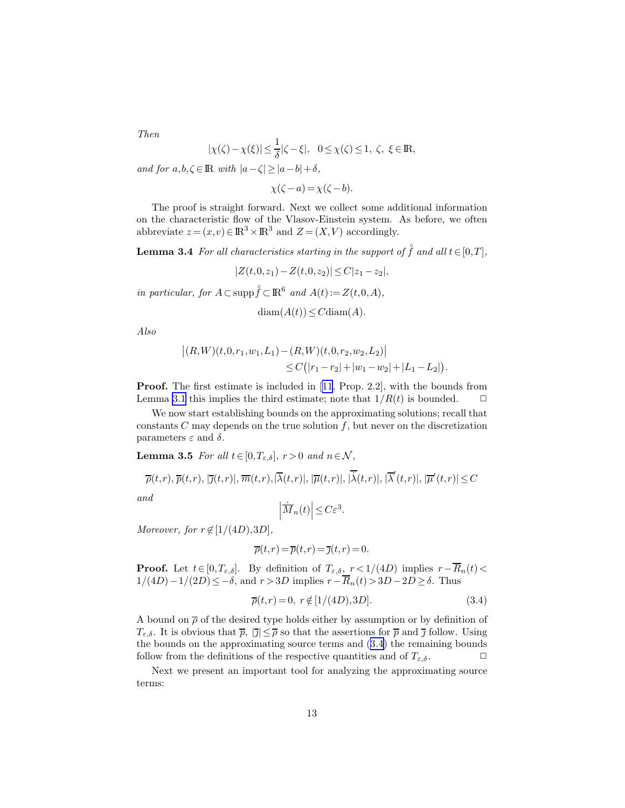<span id="page-12-0"></span>Then

$$
|\chi(\zeta) - \chi(\xi)| \le \frac{1}{\delta} |\zeta - \xi|, \quad 0 \le \chi(\zeta) \le 1, \ \zeta, \ \xi \in \mathbb{R},
$$

and for  $a, b, \zeta \in \mathbb{R}$  with  $|a-\zeta| \geq |a-b| + \delta$ ,

 $\chi(\zeta - a) = \chi(\zeta - b).$ 

The proof is straight forward. Next we collect some additional information on the characteristic flow of the Vlasov-Einstein system. As before, we often abbreviate  $z = (x, v) \in \mathbb{R}^3 \times \mathbb{R}^3$  and  $Z = (X, V)$  accordingly.

**Lemma 3.4** For all characteristics starting in the support of  $\hat{f}$  and all  $t \in [0,T]$ ,

$$
|Z(t,0,z_1)-Z(t,0,z_2)|\leq C|z_1-z_2|,
$$

in particular, for  $A \subset \text{supp} \hat{f} \subset \mathbb{R}^6$  and  $A(t) := Z(t,0,A)$ ,

$$
diam(A(t)) \leq C diam(A)
$$

Also

$$
\begin{aligned} \left| (R,W)(t,0,r_1,w_1,L_1) - (R,W)(t,0,r_2,w_2,L_2) \right| \\ &\leq C\big( |r_1 - r_2| + |w_1 - w_2| + |L_1 - L_2| \big). \end{aligned}
$$

Proof. The first estimate is included in[[11,](#page-35-0) Prop. 2.2], with the bounds from Lemma [3.1](#page-10-0) this implies the third estimate; note that  $1/R(t)$  is bounded.  $\Box$ 

We now start establishing bounds on the approximating solutions; recall that constants  $C$  may depends on the true solution  $f$ , but never on the discretization parameters  $\varepsilon$  and  $\delta$ .

**Lemma 3.5** For all  $t \in [0, T_{\varepsilon,\delta}], r > 0$  and  $n \in \mathcal{N}$ ,

$$
\overline{\rho}(t,r), \overline{p}(t,r), |\overline{\jmath}(t,r)|, \overline{m}(t,r), |\overline{\lambda}(t,r)|, |\overline{\mu}(t,r)|, |\overline{\lambda}(t,r)|, |\overline{\lambda}'(t,r)|, |\overline{\mu}'(t,r)| \leq C
$$
  
and  

$$
|\overline{\dot{M}}_n(t)| \leq C\varepsilon^3.
$$

$$
f_{\rm{max}}
$$

$$
\left|\dot{\overline{M}}_n(t)\right| \leq C\varepsilon^3
$$

Moreover, for  $r \notin [1/(4D),3D]$ ,

$$
\overline{\rho}(t,r) = \overline{p}(t,r) = \overline{\jmath}(t,r) = 0.
$$

**Proof.** Let  $t \in [0,T_{\varepsilon,\delta}]$ . By definition of  $T_{\varepsilon,\delta}$ ,  $r < 1/(4D)$  implies  $r - \overline{R}_n(t) <$  $1/(4D)-1/(2D)\leq -\delta$ , and  $r>3D$  implies  $r-\overline{R}_n(t)>3D-2D\geq \delta$ . Thus

$$
\overline{\rho}(t,r) = 0, \ r \notin [1/(4D),3D]. \tag{3.4}
$$

A bound on  $\bar{\rho}$  of the desired type holds either by assumption or by definition of  $T_{\varepsilon,\delta}$ . It is obvious that  $\overline{p}$ ,  $|\overline{\jmath}| \leq \overline{\rho}$  so that the assertions for  $\overline{p}$  and  $\overline{\jmath}$  follow. Using the bounds on the approximating source terms and (3.4) the remaining bounds follow from the definitions of the respective quantities and of  $T_{\varepsilon,\delta}$ .

Next we present an important tool for analyzing the approximating source terms: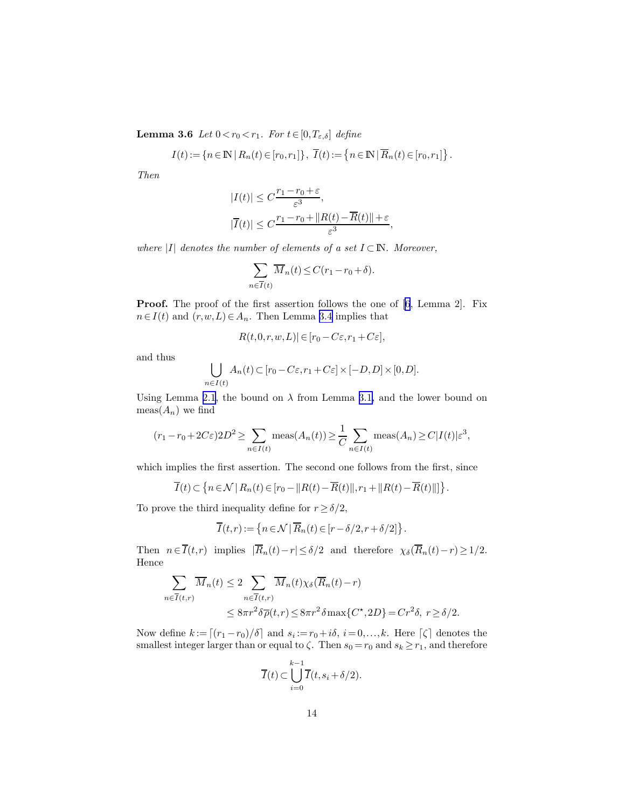**Lemma 3.6** Let  $0 < r_0 < r_1$ . For  $t \in [0, T_{\varepsilon, \delta}]$  define

$$
I(t) := \{ n \in \mathbb{N} \mid R_n(t) \in [r_0, r_1] \}, \ \overline{I}(t) := \{ n \in \mathbb{N} \mid \overline{R}_n(t) \in [r_0, r_1] \}.
$$

Then

$$
|I(t)| \leq C \frac{r_1 - r_0 + \varepsilon}{\varepsilon^3},
$$
  

$$
|\overline{I}(t)| \leq C \frac{r_1 - r_0 + ||R(t) - \overline{R}(t)|| + \varepsilon}{\varepsilon^3},
$$

where |I| denotes the number of elements of a set  $I \subset \mathbb{N}$ . Moreover,

$$
\sum_{n \in \overline{I}(t)} \overline{M}_n(t) \le C(r_1 - r_0 + \delta).
$$

**Proof.** The proof of the first assertion follows the one of [\[6](#page-35-0), Lemma 2]. Fix  $n \in I(t)$  and  $(r, w, L) \in A_n$ . Then Lemma [3.4](#page-12-0) implies that

$$
R(t,0,r,w,L)|\in[r_0-C\varepsilon,r_1+C\varepsilon],
$$

and thus

$$
\bigcup_{n\in I(t)} A_n(t) \subset [r_0 - C\varepsilon, r_1 + C\varepsilon] \times [-D, D] \times [0, D].
$$

Using Lemma [2.1](#page-6-0), the bound on  $\lambda$  from Lemma [3.1,](#page-10-0) and the lower bound on  $meas(A_n)$  we find

$$
(r_1 - r_0 + 2C\varepsilon)2D^2 \ge \sum_{n \in I(t)} \text{meas}(A_n(t)) \ge \frac{1}{C} \sum_{n \in I(t)} \text{meas}(A_n) \ge C|I(t)|\varepsilon^3,
$$

which implies the first assertion. The second one follows from the first, since

$$
\overline{I}(t) \subset \left\{ n \in \mathcal{N} \,|\, R_n(t) \in [r_0 - ||R(t) - \overline{R}(t)||, r_1 + ||R(t) - \overline{R}(t)|| \right\}.
$$

To prove the third inequality define for  $r\geq \delta/2,$ 

$$
\overline{I}(t,r) := \{ n \in \mathcal{N} \mid \overline{R}_n(t) \in [r - \delta/2, r + \delta/2] \}.
$$

Then  $n \in \overline{I}(t,r)$  implies  $|\overline{R}_n(t)-r| \leq \delta/2$  and therefore  $\chi_{\delta}(\overline{R}_n(t)-r) \geq 1/2$ . Hence

$$
\sum_{n \in \overline{I}(t,r)} \overline{M}_n(t) \le 2 \sum_{n \in \overline{I}(t,r)} \overline{M}_n(t) \chi_{\delta}(\overline{R}_n(t) - r)
$$
  

$$
\le 8\pi r^2 \delta \overline{\rho}(t,r) \le 8\pi r^2 \delta \max\{C^*, 2D\} = Cr^2 \delta, \ r \ge \delta/2.
$$

Now define  $k := [(r_1 - r_0)/\delta]$  and  $s_i := r_0 + i\delta, i = 0, ..., k$ . Here  $\lceil \zeta \rceil$  denotes the smallest integer larger than or equal to  $\zeta$ . Then  $s_0 = r_0$  and  $s_k \geq r_1$ , and therefore

$$
\overline{I}(t) \subset \bigcup_{i=0}^{k-1} \overline{I}(t, s_i + \delta/2).
$$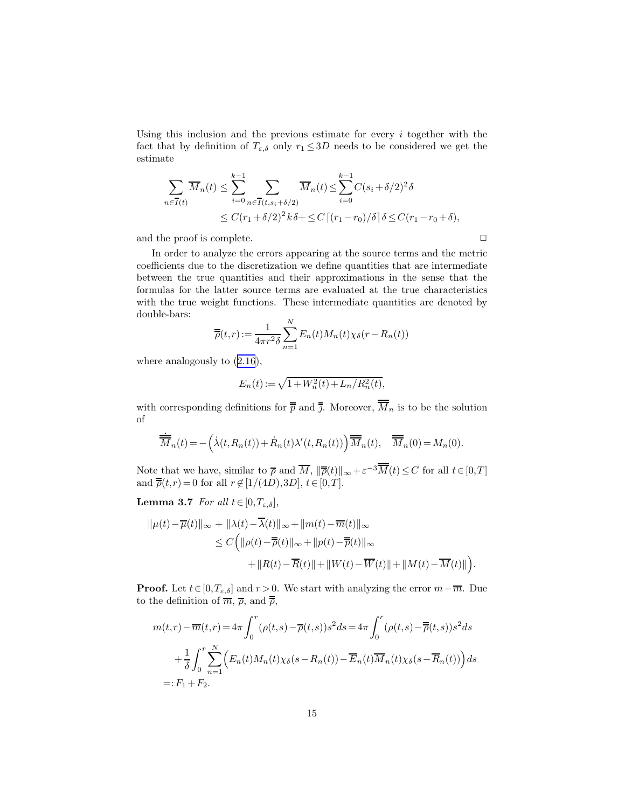<span id="page-14-0"></span>Using this inclusion and the previous estimate for every  $i$  together with the fact that by definition of  $T_{\varepsilon,\delta}$  only  $r_1 \leq 3D$  needs to be considered we get the estimate

$$
\sum_{n \in \overline{I}(t)} \overline{M}_n(t) \le \sum_{i=0}^{k-1} \sum_{n \in \overline{I}(t, s_i + \delta/2)} \overline{M}_n(t) \le \sum_{i=0}^{k-1} C(s_i + \delta/2)^2 \delta
$$
  

$$
\le C(r_1 + \delta/2)^2 k \delta + \le C \left[ (r_1 - r_0)/\delta \right] \delta \le C(r_1 - r_0 + \delta),
$$

and the proof is complete.  $\Box$ 

In order to analyze the errors appearing at the source terms and the metric coefficients due to the discretization we define quantities that are intermediate between the true quantities and their approximations in the sense that the formulas for the latter source terms are evaluated at the true characteristics with the true weight functions. These intermediate quantities are denoted by double-bars:

$$
\overline{\overline{\rho}}(t,r) := \frac{1}{4\pi r^2 \delta} \sum_{n=1}^{N} E_n(t) M_n(t) \chi_{\delta}(r - R_n(t))
$$

whereanalogously to  $(2.16)$  $(2.16)$  $(2.16)$ ,

$$
E_n(t) := \sqrt{1 + W_n^2(t) + L_n/R_n^2(t)},
$$

with corresponding definitions for  $\overline{\overline{p}}$  and  $\overline{\overline{j}}$ . Moreover,  $\overline{\overline{M}}_n$  is to be the solution of

$$
\dot{\overline{M}}_n(t) = -\left(\dot{\lambda}(t, R_n(t)) + \dot{R}_n(t)\lambda'(t, R_n(t))\right)\overline{\overline{M}}_n(t), \quad \overline{\overline{M}}_n(0) = M_n(0).
$$

Note that we have, similar to  $\bar{\rho}$  and  $\overline{M}$ ,  $\|\bar{\bar{\rho}}(t)\|_{\infty} + \varepsilon^{-3}\overline{M}(t) \leq C$  for all  $t \in [0, T]$ and  $\overline{\overline{\rho}}(t,r) = 0$  for all  $r \notin [1/(4D),3D], t \in [0,T]$ .

**Lemma 3.7** For all  $t \in [0, T_{\varepsilon,\delta}],$ 

$$
\|\mu(t) - \overline{\mu}(t)\|_{\infty} + \|\lambda(t) - \overline{\lambda}(t)\|_{\infty} + \|m(t) - \overline{m}(t)\|_{\infty}
$$
  
\n
$$
\leq C \Big( \|\rho(t) - \overline{\overline{\rho}}(t)\|_{\infty} + \|p(t) - \overline{\overline{p}}(t)\|_{\infty}
$$
  
\n
$$
+ \|R(t) - \overline{R}(t)\| + \|W(t) - \overline{W}(t)\| + \|M(t) - \overline{M}(t)\| \Big).
$$

**Proof.** Let  $t \in [0, T_{\varepsilon,\delta}]$  and  $r > 0$ . We start with analyzing the error  $m - \overline{m}$ . Due to the definition of  $\overline{m}$ ,  $\overline{\rho}$ , and  $\overline{\overline{\rho}}$ ,

$$
m(t,r) - \overline{m}(t,r) = 4\pi \int_0^r (\rho(t,s) - \overline{\rho}(t,s))s^2 ds = 4\pi \int_0^r (\rho(t,s) - \overline{\overline{\rho}}(t,s))s^2 ds
$$
  
+ 
$$
\frac{1}{\delta} \int_0^r \sum_{n=1}^N \left( E_n(t)M_n(t)\chi_\delta(s - R_n(t)) - \overline{E}_n(t)\overline{M}_n(t)\chi_\delta(s - \overline{R}_n(t)) \right) ds
$$
  
=:  $F_1 + F_2$ .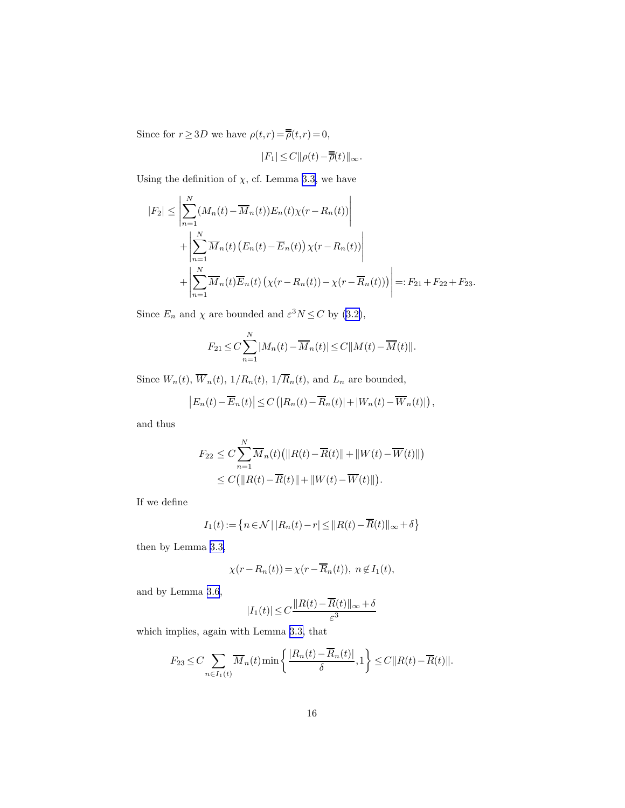Since for  $r \ge 3D$  we have  $\rho(t,r) = \overline{\overline{\rho}}(t,r) = 0$ ,

$$
|F_1|\leq C\|\rho(t)-\overline{\overline{\rho}}(t)\|_\infty.
$$

Using the definition of  $\chi$ , cf. Lemma [3.3,](#page-11-0) we have

$$
|F_2| \leq \left| \sum_{n=1}^{N} (M_n(t) - \overline{M}_n(t)) E_n(t) \chi(r - R_n(t)) \right|
$$
  
+ 
$$
\left| \sum_{n=1}^{N} \overline{M}_n(t) \left( E_n(t) - \overline{E}_n(t) \right) \chi(r - R_n(t)) \right|
$$
  
+ 
$$
\left| \sum_{n=1}^{N} \overline{M}_n(t) \overline{E}_n(t) \left( \chi(r - R_n(t)) - \chi(r - \overline{R}_n(t)) \right) \right| =: F_{21} + F_{22} + F_{23}.
$$

Since  $E_n$  and  $\chi$  are bounded and  $\varepsilon^3 N \leq C$  by [\(3.2\)](#page-11-0),

$$
F_{21} \leq C \sum_{n=1}^{N} |M_n(t) - \overline{M}_n(t)| \leq C ||M(t) - \overline{M}(t)||.
$$

Since  $W_n(t)$ ,  $\overline{W}_n(t)$ ,  $1/R_n(t)$ ,  $1/\overline{R}_n(t)$ , and  $L_n$  are bounded,

$$
\left|E_n(t) - \overline{E}_n(t)\right| \le C\left(\left|R_n(t) - \overline{R}_n(t)\right| + \left|W_n(t) - \overline{W}_n(t)\right|\right),\,
$$

and thus

$$
F_{22} \leq C \sum_{n=1}^{N} \overline{M}_n(t) \left( ||R(t) - \overline{R}(t)|| + ||W(t) - \overline{W}(t)|| \right)
$$
  

$$
\leq C \left( ||R(t) - \overline{R}(t)|| + ||W(t) - \overline{W}(t)|| \right).
$$

If we define

$$
I_1(t) := \left\{ n \in \mathcal{N} \, | \, |R_n(t) - r| \le ||R(t) - \overline{R}(t)||_{\infty} + \delta \right\}
$$

then by Lemma [3.3,](#page-11-0)

$$
\chi(r - R_n(t)) = \chi(r - \overline{R}_n(t)), \ n \not\in I_1(t),
$$

and by Lemma [3.6](#page-12-0),

$$
|I_1(t)| \le C \frac{\|R(t) - \overline{R}(t)\|_{\infty} + \delta}{\varepsilon^3}
$$

which implies, again with Lemma [3.3,](#page-11-0) that

$$
F_{23} \leq C \sum_{n \in I_1(t)} \overline{M}_n(t) \min \left\{ \frac{|R_n(t) - \overline{R}_n(t)|}{\delta}, 1 \right\} \leq C ||R(t) - \overline{R}(t)||.
$$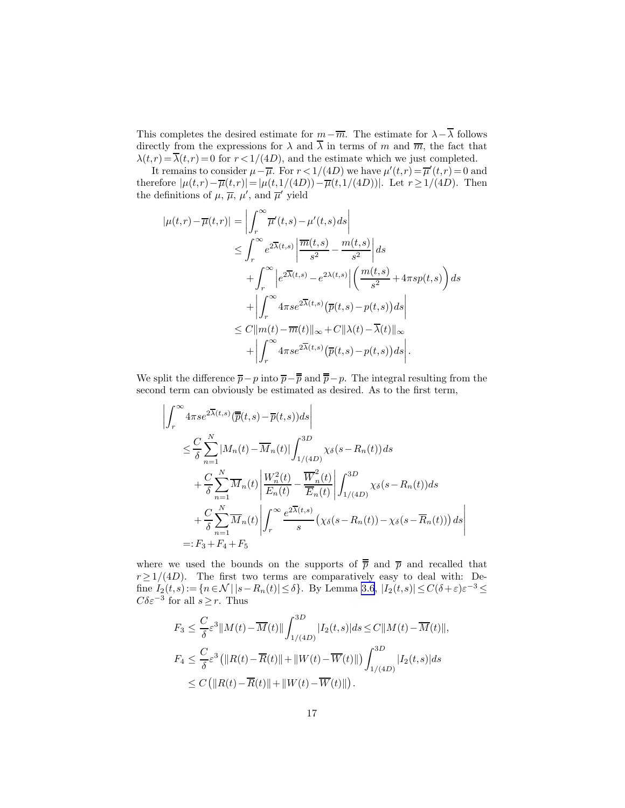This completes the desired estimate for  $m-\overline{m}$ . The estimate for  $\lambda-\overline{\lambda}$  follows directly from the expressions for  $\lambda$  and  $\overline{\lambda}$  in terms of m and  $\overline{m}$ , the fact that  $\lambda(t,r) = \overline{\lambda(t,r)} = 0$  for  $r < 1/(4D)$ , and the estimate which we just completed.

It remains to consider  $\mu - \overline{\mu}$ . For  $r < 1/(4D)$  we have  $\mu'(t,r) = \overline{\mu}'(t,r) = 0$  and therefore  $|\mu(t,r)-\overline{\mu}(t,r)|=|\mu(t,1/(4D))-\overline{\mu}(t,1/(4D))|$ . Let  $r\geq 1/(4D)$ . Then the definitions of  $\mu$ ,  $\overline{\mu}$ ,  $\mu'$ , and  $\overline{\mu}'$  yield

$$
|\mu(t,r) - \overline{\mu}(t,r)| = \left| \int_r^{\infty} \overline{\mu}'(t,s) - \mu'(t,s) ds \right|
$$
  
\n
$$
\leq \int_r^{\infty} e^{2\overline{\lambda}(t,s)} \left| \frac{\overline{m}(t,s)}{s^2} - \frac{m(t,s)}{s^2} \right| ds
$$
  
\n
$$
+ \int_r^{\infty} \left| e^{2\overline{\lambda}(t,s)} - e^{2\lambda(t,s)} \right| \left( \frac{m(t,s)}{s^2} + 4\pi s p(t,s) \right) ds
$$
  
\n
$$
+ \left| \int_r^{\infty} 4\pi s e^{2\overline{\lambda}(t,s)} \left( \overline{p}(t,s) - p(t,s) \right) ds \right|
$$
  
\n
$$
\leq C \|\overline{m}(t) - \overline{m}(t)\|_{\infty} + C \|\lambda(t) - \overline{\lambda}(t)\|_{\infty}
$$
  
\n
$$
+ \left| \int_r^{\infty} 4\pi s e^{2\overline{\lambda}(t,s)} \left( \overline{p}(t,s) - p(t,s) \right) ds \right|.
$$

We split the difference  $\bar{p}-p$  into  $\bar{p}-\bar{p}$  and  $\bar{p}-p$ . The integral resulting from the second term can obviously be estimated as desired. As to the first term,

$$
\left| \int_{r}^{\infty} 4\pi s e^{2\overline{\lambda}(t,s)} (\overline{\overline{p}}(t,s) - \overline{p}(t,s)) ds \right|
$$
  
\n
$$
\leq \frac{C}{\delta} \sum_{n=1}^{N} |M_n(t) - \overline{M}_n(t)| \int_{1/(4D)}^{3D} \chi_{\delta}(s - R_n(t)) ds
$$
  
\n
$$
+ \frac{C}{\delta} \sum_{n=1}^{N} \overline{M}_n(t) \left| \frac{W_n^2(t)}{E_n(t)} - \frac{\overline{W}_n^2(t)}{\overline{E}_n(t)} \right| \int_{1/(4D)}^{3D} \chi_{\delta}(s - R_n(t)) ds
$$
  
\n
$$
+ \frac{C}{\delta} \sum_{n=1}^{N} \overline{M}_n(t) \left| \int_{r}^{\infty} \frac{e^{2\overline{\lambda}(t,s)}}{s} \left( \chi_{\delta}(s - R_n(t)) - \chi_{\delta}(s - \overline{R}_n(t)) \right) ds \right|
$$
  
\n= : F\_3 + F\_4 + F\_5

where we used the bounds on the supports of  $\bar{p}$  and  $\bar{p}$  and recalled that  $r \geq 1/(4D)$ . The first two terms are comparatively easy to deal with: Define  $I_2(t,s) := \{ n \in \mathcal{N} \mid |s - R_n(t)| \leq \delta \}$ . By Lemma [3.6](#page-12-0),  $|I_2(t,s)| \leq C(\delta + \varepsilon) \varepsilon^{-3} \leq$  $C\delta \varepsilon^{-3}$  for all  $s \geq r$ . Thus

$$
F_3 \leq \frac{C}{\delta} \varepsilon^3 \|M(t) - \overline{M}(t)\| \int_{1/(4D)}^{3D} |I_2(t, s)| ds \leq C \|M(t) - \overline{M}(t)\|,
$$
  
\n
$$
F_4 \leq \frac{C}{\delta} \varepsilon^3 \left( \|R(t) - \overline{R}(t)\| + \|W(t) - \overline{W}(t)\| \right) \int_{1/(4D)}^{3D} |I_2(t, s)| ds
$$
  
\n
$$
\leq C \left( \|R(t) - \overline{R}(t)\| + \|W(t) - \overline{W}(t)\| \right).
$$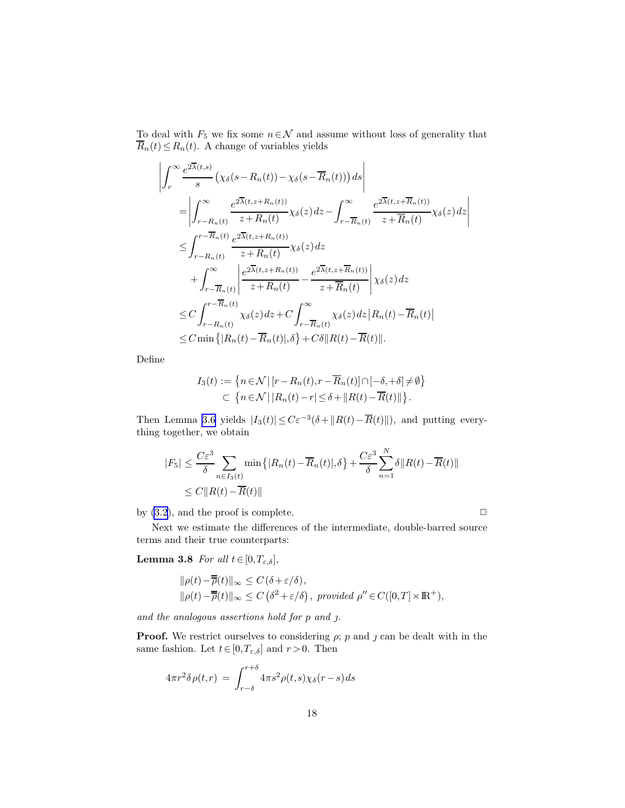<span id="page-17-0"></span>To deal with  $F_5$  we fix some  $n \in \mathcal{N}$  and assume without loss of generality that  $\overline{R}_n(t) \leq R_n(t)$ . A change of variables yields

$$
\left| \int_{r}^{\infty} \frac{e^{2\overline{\lambda}(t,s)}}{s} \left( \chi_{\delta}(s - R_{n}(t)) - \chi_{\delta}(s - \overline{R}_{n}(t)) \right) ds \right|
$$
\n
$$
= \left| \int_{r - R_{n}(t)}^{\infty} \frac{e^{2\overline{\lambda}(t,s + R_{n}(t))}}{z + R_{n}(t)} \chi_{\delta}(z) dz - \int_{r - \overline{R}_{n}(t)}^{\infty} \frac{e^{2\overline{\lambda}(t,s + \overline{R}_{n}(t))}}{z + \overline{R}_{n}(t)} \chi_{\delta}(z) dz \right|
$$
\n
$$
\leq \int_{r - R_{n}(t)}^{r - \overline{R}_{n}(t)} \frac{e^{2\overline{\lambda}(t,s + R_{n}(t))}}{z + R_{n}(t)} \chi_{\delta}(z) dz
$$
\n
$$
+ \int_{r - \overline{R}_{n}(t)}^{\infty} \left| \frac{e^{2\overline{\lambda}(t,s + R_{n}(t))}}{z + R_{n}(t)} - \frac{e^{2\overline{\lambda}(t,s + \overline{R}_{n}(t))}}{z + \overline{R}_{n}(t)} \right| \chi_{\delta}(z) dz
$$
\n
$$
\leq C \int_{r - R_{n}(t)}^{r - \overline{R}_{n}(t)} \chi_{\delta}(z) dz + C \int_{r - \overline{R}_{n}(t)}^{\infty} \chi_{\delta}(z) dz \left| R_{n}(t) - \overline{R}_{n}(t) \right|
$$
\n
$$
\leq C \min \left\{ |R_{n}(t) - \overline{R}_{n}(t)|, \delta \right\} + C\delta ||R(t) - \overline{R}(t)||.
$$

Define

$$
I_3(t) := \left\{ n \in \mathcal{N} \, | \, [r - R_n(t), r - \overline{R}_n(t)] \cap [-\delta, +\delta] \neq \emptyset \right\}
$$
  

$$
\subset \left\{ n \in \mathcal{N} \, | \, |R_n(t) - r| \leq \delta + \|R(t) - \overline{R}(t)\| \right\}.
$$

Then Lemma [3.6](#page-12-0) yields  $|I_3(t)| \leq C \varepsilon^{-3} (\delta + ||R(t) - \overline{R}(t)||)$ , and putting everything together, we obtain

$$
|F_5| \leq \frac{C\varepsilon^3}{\delta} \sum_{n \in I_3(t)} \min\left\{|R_n(t) - \overline{R}_n(t)|, \delta\right\} + \frac{C\varepsilon^3}{\delta} \sum_{n=1}^N \delta \|R(t) - \overline{R}(t)\|
$$
  
 
$$
\leq C \|R(t) - \overline{R}(t)\|
$$

by [\(3.2](#page-11-0)), and the proof is complete.  $\Box$ 

Next we estimate the differences of the intermediate, double-barred source terms and their true counterparts:

**Lemma 3.8** For all  $t \in [0, T_{\varepsilon,\delta}]$ ,

$$
\label{eq:estim} \begin{split} &\|\rho(t)-\overline{\overline{\rho}}(t)\|_\infty\leq C\left(\delta+\varepsilon/\delta\right),\\ &\|\rho(t)-\overline{\overline{\rho}}(t)\|_\infty\leq C\left(\delta^2+\varepsilon/\delta\right),\,\, provided\,\, \rho^{\prime\prime}\!\in\! C([0,T]\times{\rm I\!R}^+), \end{split}
$$

and the analogous assertions hold for  $p$  and  $j$ .

**Proof.** We restrict ourselves to considering  $\rho$ ; p and  $\jmath$  can be dealt with in the same fashion. Let  $t \in [0, T_{\varepsilon,\delta}]$  and  $r > 0$ . Then

$$
4\pi r^2 \delta \rho(t,r) = \int_{r-\delta}^{r+\delta} 4\pi s^2 \rho(t,s) \chi_{\delta}(r-s) ds
$$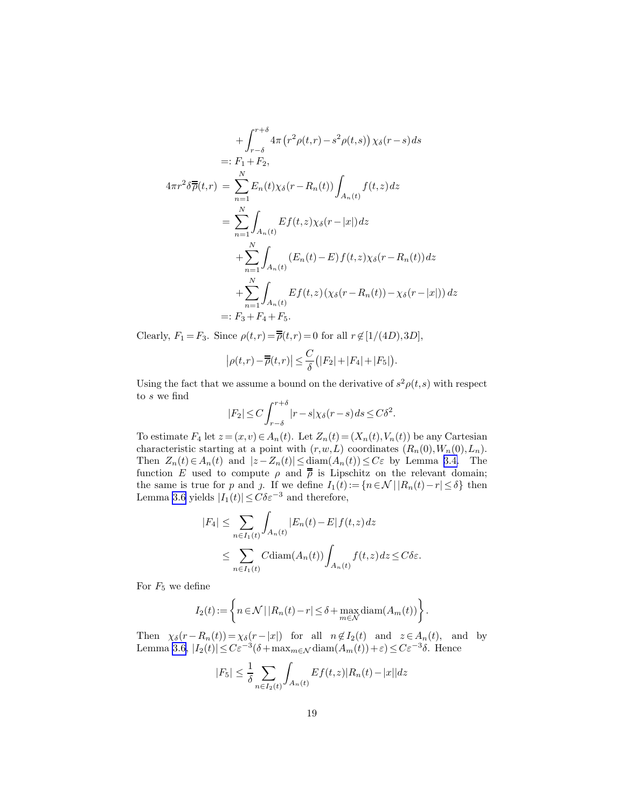$$
+\int_{r-\delta}^{r+\delta} 4\pi (r^2 \rho(t,r) - s^2 \rho(t,s)) \chi_{\delta}(r-s) ds
$$
  
=:  $F_1 + F_2$ ,  

$$
4\pi r^2 \delta \overline{\overline{\rho}}(t,r) = \sum_{n=1}^N E_n(t) \chi_{\delta}(r - R_n(t)) \int_{A_n(t)} f(t,z) dz
$$
  
= 
$$
\sum_{n=1}^N \int_{A_n(t)} E f(t,z) \chi_{\delta}(r - |x|) dz
$$
  
+ 
$$
\sum_{n=1}^N \int_{A_n(t)} (E_n(t) - E) f(t,z) \chi_{\delta}(r - R_n(t)) dz
$$
  
+ 
$$
\sum_{n=1}^N \int_{A_n(t)} Ef(t,z) (\chi_{\delta}(r - R_n(t)) - \chi_{\delta}(r - |x|)) dz
$$
  
=:  $F_3 + F_4 + F_5$ .

Clearly,  $F_1 = F_3$ . Since  $\rho(t,r) = \overline{\overline{\rho}}(t,r) = 0$  for all  $r \notin [1/(4D),3D],$ 

$$
\left|\rho(t,r)-\overline{\overline{\rho}}(t,r)\right|\leq\frac{C}{\delta}\big(|F_2|+|F_4|+|F_5|\big).
$$

Using the fact that we assume a bound on the derivative of  $s^2 \rho(t,s)$  with respect to s we find

$$
|F_2| \le C \int_{r-\delta}^{r+\delta} |r-s| \chi_{\delta}(r-s) ds \le C\delta^2.
$$

To estimate  $F_4$  let  $z = (x, v) \in A_n(t)$ . Let  $Z_n(t) = (X_n(t), V_n(t))$  be any Cartesian characteristic starting at a point with  $(r, w, L)$  coordinates  $(R_n(0), W_n(0), L_n)$ . Then  $Z_n(t) \in A_n(t)$  and  $|z - Z_n(t)| \leq \text{diam}(A_n(t)) \leq C\varepsilon$  by Lemma [3.4.](#page-12-0) The function E used to compute  $\rho$  and  $\bar{\bar{\rho}}$  is Lipschitz on the relevant domain; the same is true for p and j. If we define  $I_1(t) := \{n \in \mathcal{N} \mid |R_n(t) - r| \leq \delta\}$  then Lemma [3.6](#page-12-0) yields  $|I_1(t)| \leq C \delta \varepsilon^{-3}$  and therefore,

$$
|F_4| \leq \sum_{n \in I_1(t)} \int_{A_n(t)} |E_n(t) - E| f(t, z) dz
$$
  

$$
\leq \sum_{n \in I_1(t)} C \text{diam}(A_n(t)) \int_{A_n(t)} f(t, z) dz \leq C \delta \varepsilon.
$$

For  $F_5$  we define

$$
I_2(t) := \left\{ n \in \mathcal{N} \, | \, |R_n(t) - r| \le \delta + \max_{m \in \mathcal{N}} \text{diam}(A_m(t)) \right\}.
$$

Then  $\chi_{\delta}(r-R_n(t)) = \chi_{\delta}(r-|x|)$  for all  $n \notin I_2(t)$  and  $z \in A_n(t)$ , and by Lemma [3.6](#page-12-0),  $|I_2(t)| \leq C \varepsilon^{-3} (\delta + \max_{m \in \mathcal{N}} \text{diam}(A_m(t)) + \varepsilon) \leq C \varepsilon^{-3} \delta$ . Hence

$$
|F_5| \le \frac{1}{\delta} \sum_{n \in I_2(t)} \int_{A_n(t)} Ef(t, z) |R_n(t) - |x|| dz
$$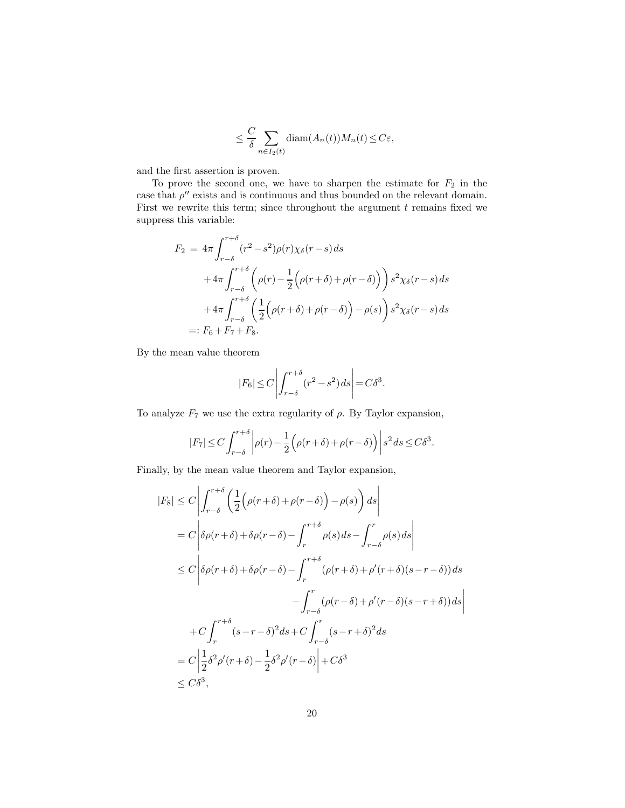$$
\leq \frac{C}{\delta} \sum_{n \in I_2(t)} \text{diam}(A_n(t)) M_n(t) \leq C \varepsilon,
$$

and the first assertion is proven.

To prove the second one, we have to sharpen the estimate for  $F_2$  in the case that  $\rho''$  exists and is continuous and thus bounded on the relevant domain. First we rewrite this term; since throughout the argument  $t$  remains fixed we suppress this variable:

$$
F_2 = 4\pi \int_{r-\delta}^{r+\delta} (r^2 - s^2)\rho(r)\chi_{\delta}(r-s)ds
$$
  
+4\pi \int\_{r-\delta}^{r+\delta} \left(\rho(r) - \frac{1}{2}\left(\rho(r+\delta) + \rho(r-\delta)\right)\right) s^2 \chi\_{\delta}(r-s)ds  
+4\pi \int\_{r-\delta}^{r+\delta} \left(\frac{1}{2}\left(\rho(r+\delta) + \rho(r-\delta)\right) - \rho(s)\right) s^2 \chi\_{\delta}(r-s)ds  
=: F\_6 + F\_7 + F\_8.

By the mean value theorem

$$
|F_6| \le C \left| \int_{r-\delta}^{r+\delta} (r^2 - s^2) \, ds \right| = C \delta^3.
$$

To analyze  $F_7$  we use the extra regularity of  $\rho$ . By Taylor expansion,

$$
|F_7| \le C \int_{r-\delta}^{r+\delta} \left| \rho(r) - \frac{1}{2} \left( \rho(r+\delta) + \rho(r-\delta) \right) \right| s^2 ds \le C\delta^3.
$$

Finally, by the mean value theorem and Taylor expansion,

$$
|F_8| \le C \left| \int_{r-\delta}^{r+\delta} \left( \frac{1}{2} \Big( \rho(r+\delta) + \rho(r-\delta) \Big) - \rho(s) \right) ds \right|
$$
  
\n
$$
= C \left| \delta \rho(r+\delta) + \delta \rho(r-\delta) - \int_r^{r+\delta} \rho(s) ds - \int_{r-\delta}^r \rho(s) ds \right|
$$
  
\n
$$
\le C \left| \delta \rho(r+\delta) + \delta \rho(r-\delta) - \int_r^{r+\delta} (\rho(r+\delta) + \rho'(r+\delta)(s-r-\delta)) ds - \int_{r-\delta}^r (\rho(r-\delta) + \rho'(r-\delta)(s-r+\delta)) ds \right|
$$
  
\n
$$
+ C \int_r^{r+\delta} (s-r-\delta)^2 ds + C \int_{r-\delta}^r (s-r+\delta)^2 ds
$$
  
\n
$$
= C \left| \frac{1}{2} \delta^2 \rho'(r+\delta) - \frac{1}{2} \delta^2 \rho'(r-\delta) \right| + C \delta^3
$$
  
\n
$$
\le C \delta^3,
$$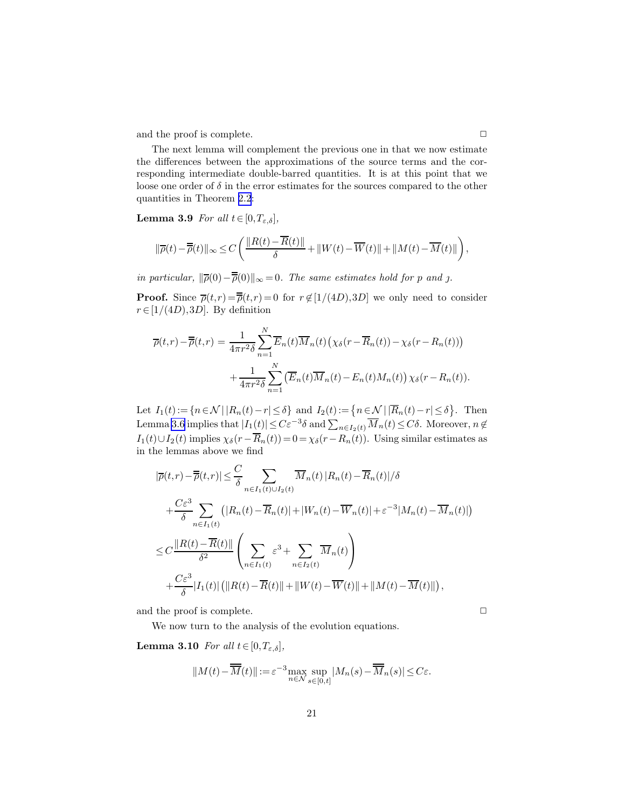<span id="page-20-0"></span>and the proof is complete.  $\hfill \Box$ 

The next lemma will complement the previous one in that we now estimate the differences between the approximations of the source terms and the corresponding intermediate double-barred quantities. It is at this point that we loose one order of  $\delta$  in the error estimates for the sources compared to the other quantities in Theorem [2.2](#page-9-0):

**Lemma 3.9** For all  $t \in [0, T_{\varepsilon,\delta}],$ 

$$
\|\overline{\rho}(t)-\overline{\overline{\rho}}(t)\|_{\infty}\leq C\left(\frac{\|R(t)-\overline{R}(t)\|}{\delta}+\|W(t)-\overline{W}(t)\|+\|M(t)-\overline{M}(t)\|\right),
$$

in particular,  $\|\overline{\rho}(0)-\overline{\overline{\rho}}(0)\|_{\infty}=0$ . The same estimates hold for p and j.

**Proof.** Since  $\overline{\rho}(t,r) = \overline{\overline{\rho}}(t,r) = 0$  for  $r \notin [1/(4D),3D]$  we only need to consider  $r \in [1/(4D),3D]$ . By definition

$$
\overline{\rho}(t,r) - \overline{\overline{\rho}}(t,r) = \frac{1}{4\pi r^2 \delta} \sum_{n=1}^N \overline{E}_n(t) \overline{M}_n(t) \left( \chi_\delta(r - \overline{R}_n(t)) - \chi_\delta(r - R_n(t)) \right) + \frac{1}{4\pi r^2 \delta} \sum_{n=1}^N \left( \overline{E}_n(t) \overline{M}_n(t) - E_n(t) M_n(t) \right) \chi_\delta(r - R_n(t)).
$$

Let  $I_1(t) := \{ n \in \mathcal{N} \mid |R_n(t) - r| \leq \delta \}$  and  $I_2(t) := \{ n \in \mathcal{N} \mid |\overline{R}_n(t) - r| \leq \delta \}$ . Then Lemma [3.6](#page-12-0) implies that  $|I_1(t)| \leq C\varepsilon^{-3}\delta$  and  $\sum_{n\in I_2(t)}\overline{M}_n(t) \leq C\delta$ . Moreover,  $n \notin$  $I_1(t) \cup I_2(t)$  implies  $\chi_\delta(r-\overline{R}_n(t)) = 0 = \chi_\delta(r-R_n(t))$ . Using similar estimates as in the lemmas above we find

$$
|\overline{\rho}(t,r)-\overline{\overline{\rho}}(t,r)| \leq \frac{C}{\delta} \sum_{n \in I_1(t) \cup I_2(t)} \overline{M}_n(t) |R_n(t)-\overline{R}_n(t)|/\delta
$$
  
+ 
$$
\frac{C\varepsilon^3}{\delta} \sum_{n \in I_1(t)} (|R_n(t)-\overline{R}_n(t)|+|W_n(t)-\overline{W}_n(t)|+\varepsilon^{-3}|M_n(t)-\overline{M}_n(t)|)
$$
  

$$
\leq C \frac{||R(t)-\overline{R}(t)||}{\delta^2} \left(\sum_{n \in I_1(t)} \varepsilon^3 + \sum_{n \in I_2(t)} \overline{M}_n(t)\right)
$$
  
+ 
$$
\frac{C\varepsilon^3}{\delta} |I_1(t)| (||R(t)-\overline{R}(t)||+||W(t)-\overline{W}(t)||+||M(t)-\overline{M}(t)||),
$$

and the proof is complete.  $\Box$ 

We now turn to the analysis of the evolution equations.

**Lemma 3.10** For all  $t \in [0, T_{\varepsilon,\delta}]$ ,

$$
||M(t) - \overline{M}(t)|| := \varepsilon^{-3} \max_{n \in \mathcal{N}} \sup_{s \in [0,t]} |M_n(s) - \overline{M}_n(s)| \le C\varepsilon.
$$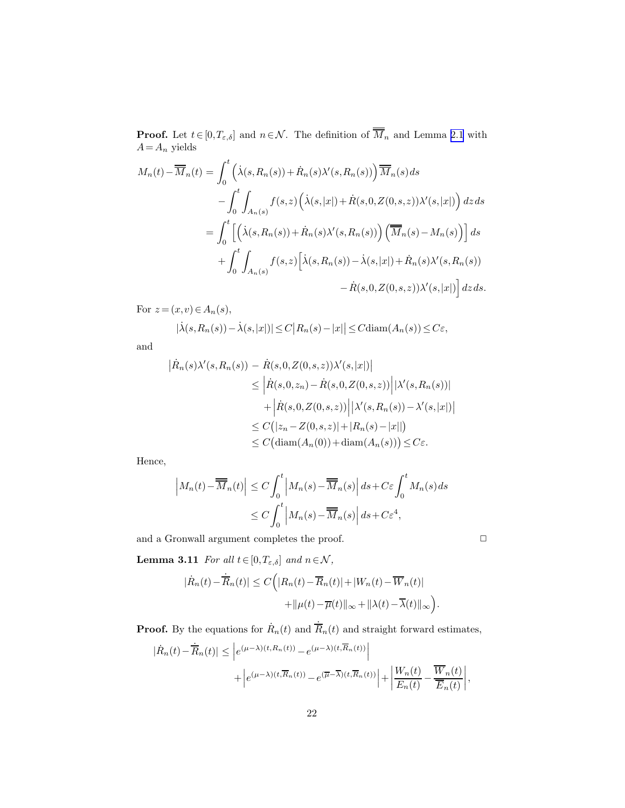<span id="page-21-0"></span>**Proof.** Let  $t \in [0, T_{\varepsilon, \delta}]$  and  $n \in \mathcal{N}$ . The definition of  $\overline{M}_n$  and Lemma [2.1](#page-6-0) with  $A=A_n$  yields

$$
M_n(t) - \overline{M}_n(t) = \int_0^t \left( \dot{\lambda}(s, R_n(s)) + \dot{R}_n(s) \lambda'(s, R_n(s)) \right) \overline{M}_n(s) ds
$$
  

$$
- \int_0^t \int_{A_n(s)} f(s, z) \left( \dot{\lambda}(s, |x|) + \dot{R}(s, 0, Z(0, s, z)) \lambda'(s, |x|) \right) dz ds
$$
  

$$
= \int_0^t \left[ \left( \dot{\lambda}(s, R_n(s)) + \dot{R}_n(s) \lambda'(s, R_n(s)) \right) \left( \overline{M}_n(s) - M_n(s) \right) \right] ds
$$
  

$$
+ \int_0^t \int_{A_n(s)} f(s, z) \left[ \dot{\lambda}(s, R_n(s)) - \dot{\lambda}(s, |x|) + \dot{R}_n(s) \lambda'(s, R_n(s)) - \dot{R}(s, 0, Z(0, s, z)) \lambda'(s, |x|) \right] dz ds.
$$

For  $z = (x, v) \in A_n(s)$ ,  $|\dot{\lambda}(s, R_n(s)) - \dot{\lambda}(s, |x|)| \le C |R_n(s) - |x|| \le C \text{diam}(A_n(s)) \le C\varepsilon,$ 

and

$$
\begin{aligned} \left| \dot{R}_n(s) \lambda'(s, R_n(s)) - \dot{R}(s, 0, Z(0, s, z)) \lambda'(s, |x|) \right| \\ &\leq \left| \dot{R}(s, 0, z_n) - \dot{R}(s, 0, Z(0, s, z)) \right| |\lambda'(s, R_n(s))| \\ &\quad + \left| \dot{R}(s, 0, Z(0, s, z)) \right| |\lambda'(s, R_n(s)) - \lambda'(s, |x|) | \\ &\leq C \left( |z_n - Z(0, s, z)| + |R_n(s) - |x| | \right) \\ &\leq C \left( \text{diam}(A_n(0)) + \text{diam}(A_n(s)) \right) \leq C \varepsilon. \end{aligned}
$$

Hence,

$$
\left| M_n(t) - \overline{M}_n(t) \right| \le C \int_0^t \left| M_n(s) - \overline{M}_n(s) \right| ds + C\varepsilon \int_0^t M_n(s) ds
$$
  

$$
\le C \int_0^t \left| M_n(s) - \overline{M}_n(s) \right| ds + C\varepsilon^4,
$$

and a Gronwall argument completes the proof.  $\hfill \Box$ 

**Lemma 3.11** For all  $t \in [0, T_{\varepsilon,\delta}]$  and  $n \in \mathcal{N}$ ,

$$
|\dot{R}_n(t) - \overline{\dot{R}}_n(t)| \le C\Big(|R_n(t) - \overline{R}_n(t)| + |W_n(t) - \overline{W}_n(t)| + ||\mu(t) - \overline{\mu}(t)||_{\infty} + ||\lambda(t) - \overline{\lambda}(t)||_{\infty}\Big).
$$

**Proof.** By the equations for  $\dot{R}_n(t)$  and  $\dot{\overline{R}}_n(t)$  and straight forward estimates,

$$
\begin{split} |\dot{R}_n(t)-\dot{\overline{R}}_n(t)| &\leq \left| e^{(\mu-\lambda)(t,R_n(t))}-e^{(\mu-\lambda)(t,\overline{R}_n(t))}\right| \\ &\qquad \qquad + \left| e^{(\mu-\lambda)(t,\overline{R}_n(t))}-e^{(\overline{\mu}-\overline{\lambda})(t,\overline{R}_n(t))}\right| + \left|\frac{W_n(t)}{E_n(t)}-\frac{\overline{W}_n(t)}{\overline{E}_n(t)}\right|, \end{split}
$$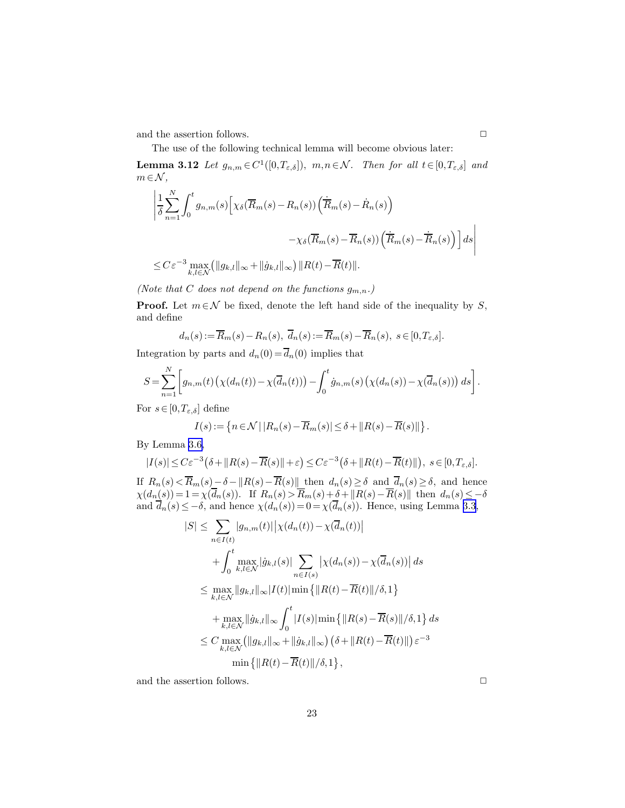<span id="page-22-0"></span>and the assertion follows.  $\hfill \Box$ 

The use of the following technical lemma will become obvious later:

**Lemma 3.12** Let  $g_{n,m} \in C^1([0,T_{\varepsilon,\delta}]), m,n \in \mathcal{N}$ . Then for all  $t \in [0,T_{\varepsilon,\delta}]$  and  $m \in \mathcal{N}$ ,

$$
\left| \frac{1}{\delta} \sum_{n=1}^{N} \int_{0}^{t} g_{n,m}(s) \left[ \chi_{\delta}(\overline{R}_{m}(s) - R_{n}(s)) \left( \dot{\overline{R}}_{m}(s) - \dot{R}_{n}(s) \right) - \chi_{\delta}(\overline{R}_{m}(s) - \overline{R}_{n}(s)) \left( \dot{\overline{R}}_{m}(s) - \dot{\overline{R}}_{n}(s) \right) \right] ds \right|
$$
  

$$
\leq C \varepsilon^{-3} \max_{k,l \in \mathcal{N}} \left( \|g_{k,l}\|_{\infty} + \|\dot{g}_{k,l}\|_{\infty} \right) \|R(t) - \overline{R}(t)\|.
$$

(Note that C does not depend on the functions  $g_{m,n}$ .)

**Proof.** Let  $m \in \mathcal{N}$  be fixed, denote the left hand side of the inequality by S, and define

$$
d_n(s) := \overline{R}_m(s) - R_n(s), \quad \overline{d}_n(s) := \overline{R}_m(s) - \overline{R}_n(s), \quad s \in [0, T_{\varepsilon, \delta}].
$$

Integration by parts and  $d_n(0) = \overline{d}_n(0)$  implies that

$$
S = \sum_{n=1}^{N} \left[ g_{n,m}(t) \left( \chi(d_n(t)) - \chi(\overline{d}_n(t)) \right) - \int_0^t \dot{g}_{n,m}(s) \left( \chi(d_n(s)) - \chi(\overline{d}_n(s)) \right) ds \right].
$$

For  $s \in [0, T_{\varepsilon,\delta}]$  define

$$
I(s) := \left\{ n \in \mathcal{N} \, | \, |R_n(s) - \overline{R}_m(s)| \le \delta + \|R(s) - \overline{R}(s)\| \right\}.
$$

By Lemma [3.6,](#page-12-0)

$$
|I(s)| \leq C\varepsilon^{-3}\big(\delta + \|R(s) - \overline{R}(s)\| + \varepsilon\big) \leq C\varepsilon^{-3}\big(\delta + \|R(t) - \overline{R}(t)\|\big), \ s \in [0, T_{\varepsilon,\delta}].
$$

If  $R_n(s) < R_m(s) - \delta - ||R(s) - R(s)||$  then  $d_n(s) \geq \delta$  and  $d_n(s) \geq \delta$ , and hence  $\chi(d_n(s)) = 1 = \chi(d_n(s)).$  If  $R_n(s) > R_m(s) + \delta + ||R(s) - R(s)||$  then  $d_n(s) \leq -\delta$ and  $d_n(s) \leq -\delta$ , and hence  $\chi(d_n(s)) = 0 = \chi(d_n(s))$ . Hence, using Lemma [3.3](#page-11-0),

$$
|S| \leq \sum_{n \in I(t)} |g_{n,m}(t)| |\chi(d_n(t)) - \chi(\overline{d}_n(t))|
$$
  
+ 
$$
\int_0^t \max_{k,l \in \mathcal{N}} |\dot{g}_{k,l}(s)| \sum_{n \in I(s)} |\chi(d_n(s)) - \chi(\overline{d}_n(s))| ds
$$
  

$$
\leq \max_{k,l \in \mathcal{N}} ||g_{k,l}||_{\infty} |I(t)| \min \{ ||R(t) - \overline{R}(t)|| / \delta, 1 \}
$$
  
+ 
$$
\max_{k,l \in \mathcal{N}} ||\dot{g}_{k,l}||_{\infty} \int_0^t |I(s)| \min \{ ||R(s) - \overline{R}(s)|| / \delta, 1 \} ds
$$
  

$$
\leq C \max_{k,l \in \mathcal{N}} (||g_{k,l}||_{\infty} + ||\dot{g}_{k,l}||_{\infty}) (\delta + ||R(t) - \overline{R}(t)||) \varepsilon^{-3}
$$
  

$$
\min \{ ||R(t) - \overline{R}(t)|| / \delta, 1 \},
$$

and the assertion follows.  $\hfill \square$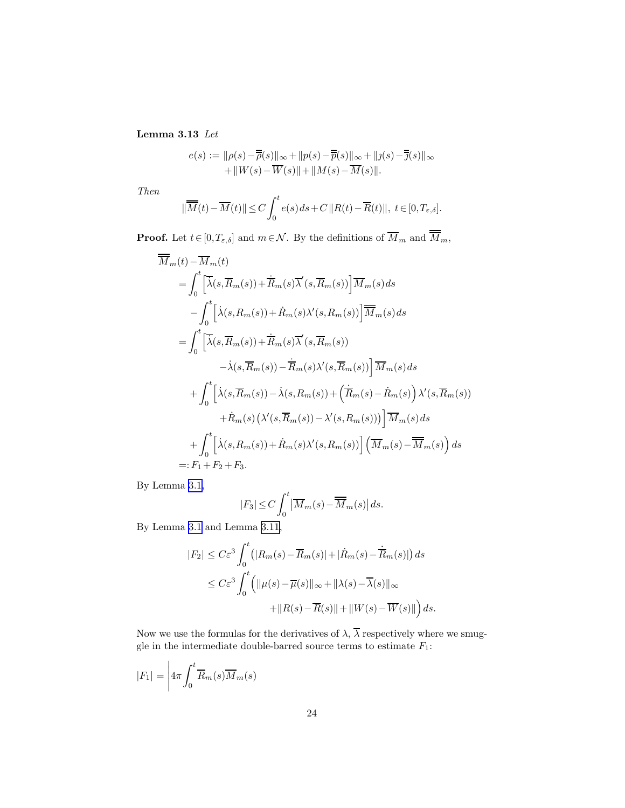Lemma 3.13 Let

$$
e(s) := \|\rho(s) - \overline{\overline{\rho}}(s)\|_{\infty} + \|p(s) - \overline{\overline{p}}(s)\|_{\infty} + \|j(s) - \overline{\overline{j}}(s)\|_{\infty} + \|W(s) - \overline{W}(s)\| + \|M(s) - \overline{M}(s)\|.
$$

Then

$$
\|\overline{M}(t) - \overline{M}(t)\| \le C \int_0^t e(s) \, ds + C \|R(t) - \overline{R}(t)\|, \ t \in [0, T_{\varepsilon, \delta}].
$$

**Proof.** Let  $t \in [0, T_{\varepsilon, \delta}]$  and  $m \in \mathcal{N}$ . By the definitions of  $\overline{M}_m$  and  $\overline{\overline{M}}_m$ ,

$$
\overline{\overline{M}}_{m}(t) - \overline{M}_{m}(t)
$$
\n
$$
= \int_{0}^{t} \left[ \overline{\lambda}(s,\overline{R}_{m}(s)) + \overline{R}_{m}(s)\overline{\lambda}'(s,\overline{R}_{m}(s)) \right] \overline{M}_{m}(s) ds
$$
\n
$$
- \int_{0}^{t} \left[ \lambda(s,R_{m}(s)) + \overline{R}_{m}(s)\lambda'(s,R_{m}(s)) \right] \overline{\overline{M}}_{m}(s) ds
$$
\n
$$
= \int_{0}^{t} \left[ \overline{\lambda}(s,\overline{R}_{m}(s)) + \overline{R}_{m}(s)\overline{\lambda}'(s,\overline{R}_{m}(s)) - \overline{\lambda}(s,\overline{R}_{m}(s)) \right] \overline{M}_{m}(s) ds
$$
\n
$$
+ \int_{0}^{t} \left[ \lambda(s,\overline{R}_{m}(s)) - \lambda(s,R_{m}(s)) + \left( \overline{R}_{m}(s) - \overline{R}_{m}(s) \right) \lambda'(s,\overline{R}_{m}(s)) + \overline{R}_{m}(s) \left( \lambda'(s,\overline{R}_{m}(s)) - \lambda'(s,R_{m}(s)) \right) \right] \overline{M}_{m}(s) ds
$$
\n
$$
+ \int_{0}^{t} \left[ \lambda(s,R_{m}(s)) + \overline{R}_{m}(s)\lambda'(s,R_{m}(s)) \right] \left( \overline{M}_{m}(s) - \overline{M}_{m}(s) \right) ds
$$
\n
$$
=: F_{1} + F_{2} + F_{3}.
$$

By Lemma [3.1,](#page-10-0)

$$
|F_3| \le C \int_0^t \left| \overline{M}_m(s) - \overline{\overline{M}}_m(s) \right| ds.
$$

By Lemma [3.1](#page-10-0) and Lemma [3.11,](#page-21-0)

$$
|F_2| \leq C\varepsilon^3 \int_0^t (|R_m(s) - \overline{R}_m(s)| + |\dot{R}_m(s) - \dot{\overline{R}}_m(s)|) ds
$$
  

$$
\leq C\varepsilon^3 \int_0^t (||\mu(s) - \overline{\mu}(s)||_{\infty} + ||\lambda(s) - \overline{\lambda}(s)||_{\infty}
$$
  

$$
+ ||R(s) - \overline{R}(s)|| + ||W(s) - \overline{W}(s)||) ds.
$$

Now we use the formulas for the derivatives of  $\lambda$ ,  $\overline{\lambda}$  respectively where we smuggle in the intermediate double-barred source terms to estimate  $F_1$ :

$$
|F_1| = \left| 4\pi \int_0^t \overline{R}_m(s) \overline{M}_m(s) \right|
$$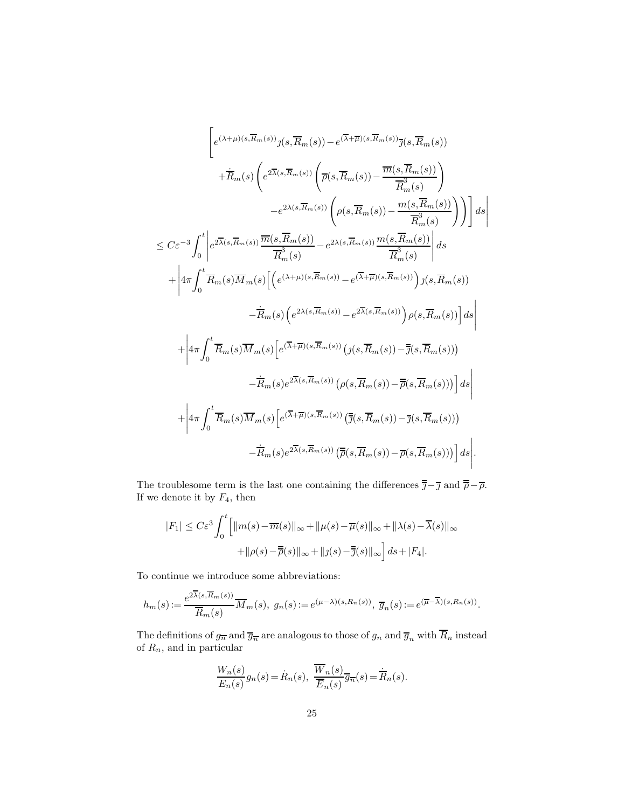$$
\begin{split}\n&\left[e^{(\lambda+\mu)(s,\overline{R}_{m}(s))}j(s,\overline{R}_{m}(s))-e^{(\overline{\lambda}+\overline{\mu})(s,\overline{R}_{m}(s))}\overline{\jmath}(s,\overline{R}_{m}(s))\right.\\&\left.+\dot{\overline{R}}_{m}(s)\left(e^{2\overline{\lambda}(s,\overline{R}_{m}(s))}\left(\overline{\rho}(s,\overline{R}_{m}(s))-\frac{\overline{m}(s,\overline{R}_{m}(s))}{\overline{R}_{m}^{3}(s)}\right)\right.\\&\left.\left.-e^{2\lambda(s,\overline{R}_{m}(s))}\left(\rho(s,\overline{R}_{m}(s))-\frac{m(s,\overline{R}_{m}(s))}{\overline{R}_{m}^{3}(s)}\right)\right)\right]ds\\&\leq C\varepsilon^{-3}\int_{0}^{t}\left|e^{2\overline{\lambda}(s,\overline{R}_{m}(s))}\frac{\overline{m}(s,\overline{R}_{m}(s))}{\overline{R}_{m}^{3}(s)}-e^{2\lambda(s,\overline{R}_{m}(s))}\frac{m(s,\overline{R}_{m}(s))}{\overline{R}_{m}^{3}(s)}\right|ds\\&+\left|4\pi\int_{0}^{t}\overline{R}_{m}(s)\overline{M}_{m}(s)\left[\left(e^{(\lambda+\mu)(s,\overline{R}_{m}(s))}-e^{(\overline{\lambda}+\overline{\mu})(s,\overline{R}_{m}(s))}\right)j(s,\overline{R}_{m}(s))\right]ds\right|\\&+\left|4\pi\int_{0}^{t}\overline{R}_{m}(s)\overline{M}_{m}(s)\left[e^{(\overline{\lambda}+\overline{\mu})(s,\overline{R}_{m}(s))}\left(j(s,\overline{R}_{m}(s))-\overline{\bar{\jmath}}(s,\overline{R}_{m}(s))\right)\right]ds\right|\\&+\left|4\pi\int_{0}^{t}\overline{R}_{m}(s)\overline{M}_{m}(s)\left[e^{(\overline{\lambda}+\overline{\mu})(s,\overline{R}_{m}(s))}\left(j(s,\overline{R}_{m}(s))-\overline{\bar{\jmath}}(s,\overline{R}_{m}(s))\right)\right]ds\right|\\&+\left|4\pi\int_{0}^{t}\overline{R}_{m}(s)\overline{M}_{m}(s)\left[e^{(\overline{\lambda}+\overline{\mu})(s,\overline{R}_{m}(s))}\left(\overline{\bar{\
$$

 $\overline{\phantom{a}}$ I  $\overline{\phantom{a}}$  $\overline{\phantom{a}}$  $\overline{\phantom{a}}$ 

The troublesome term is the last one containing the differences  $\overline{\overline{\jmath}} - \overline{\jmath}$  and  $\overline{\overline{\rho}} - \overline{\rho}$ . If we denote it by  $F_4$ , then

$$
|F_1| \leq C\varepsilon^3 \int_0^t \left[ \|m(s) - \overline{m}(s)\|_{\infty} + \|\mu(s) - \overline{\mu}(s)\|_{\infty} + \|\lambda(s) - \overline{\lambda}(s)\|_{\infty} + \|\rho(s) - \overline{\overline{\rho}}(s)\|_{\infty} + \|j(s) - \overline{\overline{j}}(s)\|_{\infty} \right] ds + |F_4|.
$$

To continue we introduce some abbreviations:

$$
h_m(s) := \frac{e^{2\overline{\lambda}(s,\overline{R}_m(s))}}{\overline{R}_m(s)}\overline{M}_m(s), \ g_n(s) := e^{(\mu-\lambda)(s,R_n(s))}, \ \overline{g}_n(s) := e^{(\overline{\mu}-\overline{\lambda})(s,R_n(s))}.
$$

The definitions of  $g_{\overline{n}}$  and  $\overline{g}_{\overline{n}}$  are analogous to those of  $g_n$  and  $\overline{g}_n$  with  $\overline{R}_n$  instead of  $R_n$ , and in particular

$$
\frac{W_n(s)}{E_n(s)}g_n(s) = \dot{R}_n(s), \quad \overline{\frac{W_n(s)}{\overline{E}_n(s)}}\overline{g}_{\overline{n}}(s) = \dot{\overline{R}}_n(s).
$$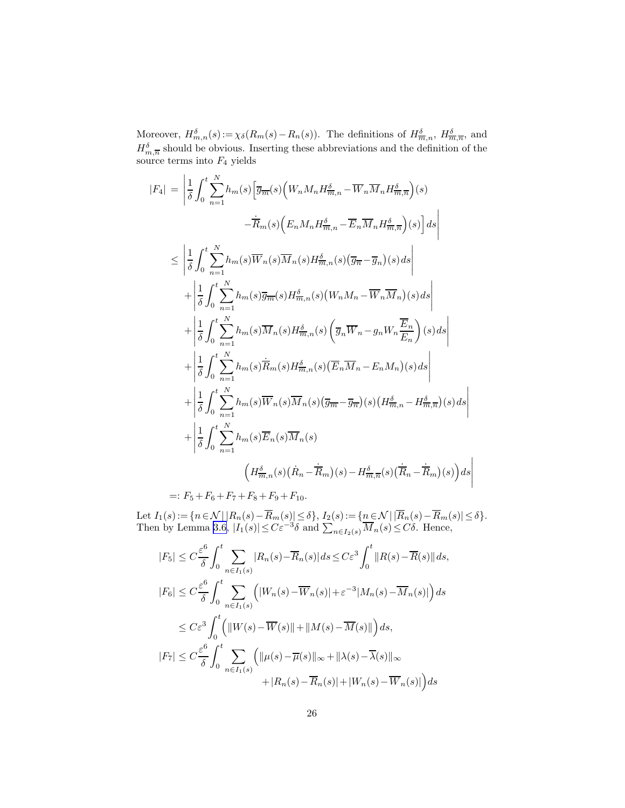Moreover,  $H_{m,n}^{\delta}(s) := \chi_{\delta}(R_m(s) - R_n(s))$ . The definitions of  $H_{\overline{m},n}^{\delta}$ ,  $H_{\overline{m},\overline{n}}^{\delta}$ , and  $H_{m,\overline{n}}^{\delta}$  should be obvious. Inserting these abbreviations and the definition of the source terms into  $F_4$  yields

$$
|F_4| = \left| \frac{1}{\delta} \int_0^t \sum_{n=1}^N h_m(s) \left[ \overline{g}_{\overline{m}}(s) \left( W_n M_n H_{\overline{m},n}^{\delta} - \overline{W}_n \overline{M}_n H_{\overline{m},\overline{n}}^{\delta} \right) (s) \right. \\ - \overline{R}_m(s) \left( E_n M_n H_{\overline{m},n}^{\delta} - \overline{E}_n \overline{M}_n H_{\overline{m},\overline{n}}^{\delta} \right) (s) \right] ds
$$
  

$$
\leq \left| \frac{1}{\delta} \int_0^t \sum_{n=1}^N h_m(s) \overline{W}_n(s) \overline{M}_n(s) H_{\overline{m},n}^{\delta}(s) (\overline{g}_{\overline{n}} - \overline{g}_n)(s) ds \right|
$$
  

$$
+ \left| \frac{1}{\delta} \int_0^t \sum_{n=1}^N h_m(s) \overline{g}_{\overline{m}}(s) H_{\overline{m},n}^{\delta}(s) (W_n M_n - \overline{W}_n \overline{M}_n)(s) ds \right|
$$
  

$$
+ \left| \frac{1}{\delta} \int_0^t \sum_{n=1}^N h_m(s) \overline{M}_n(s) H_{\overline{m},n}^{\delta}(s) (\overline{g}_n \overline{W}_n - g_n W_n \frac{\overline{E}_n}{E_n}) (s) ds \right|
$$
  

$$
+ \left| \frac{1}{\delta} \int_0^t \sum_{n=1}^N h_m(s) \overline{R}_m(s) H_{\overline{m},n}^{\delta}(s) (\overline{E}_n \overline{M}_n - E_n M_n)(s) ds \right|
$$
  

$$
+ \left| \frac{1}{\delta} \int_0^t \sum_{n=1}^N h_m(s) \overline{W}_n(s) \overline{M}_n(s) (\overline{g}_{\overline{m}} - \overline{g}_{\overline{n}})(s) (H_{\overline{m},n}^{\delta} - H_{\overline{m},\overline{n}}^{\delta})(s) ds \right|
$$
  

$$
+ \left| \frac{1}{\delta} \int_0^t \sum_{n=1}^N h_m(s) \overline{E
$$

 $=: F_5 + F_6 + F_7 + F_8 + F_9 + F_{10}.$ 

Let  $I_1(s) := \{n \in \mathcal{N} \mid |R_n(s) - R_m(s)| \le \delta\}, I_2(s) := \{n \in \mathcal{N} \mid |R_n(s) - R_m(s)| \le \delta\}.$ Then by Lemma [3.6](#page-12-0),  $|I_1(s)| \leq C \varepsilon^{-3} \delta$  and  $\sum_{n \in I_2(s)} \overline{M}_n(s) \leq C \delta$ . Hence,

$$
|F_5| \leq C \frac{\varepsilon^6}{\delta} \int_0^t \sum_{n \in I_1(s)} |R_n(s) - \overline{R}_n(s)| ds \leq C \varepsilon^3 \int_0^t ||R(s) - \overline{R}(s)|| ds,
$$
  
\n
$$
|F_6| \leq C \frac{\varepsilon^6}{\delta} \int_0^t \sum_{n \in I_1(s)} (|W_n(s) - \overline{W}_n(s)| + \varepsilon^{-3} |M_n(s) - \overline{M}_n(s)|) ds
$$
  
\n
$$
\leq C \varepsilon^3 \int_0^t (||W(s) - \overline{W}(s)|| + ||M(s) - \overline{M}(s)||) ds,
$$
  
\n
$$
|F_7| \leq C \frac{\varepsilon^6}{\delta} \int_0^t \sum_{n \in I_1(s)} (||\mu(s) - \overline{\mu}(s)||_{\infty} + ||\lambda(s) - \overline{\lambda}(s)||_{\infty}
$$
  
\n
$$
+ |R_n(s) - \overline{R}_n(s)| + |W_n(s) - \overline{W}_n(s)|) ds
$$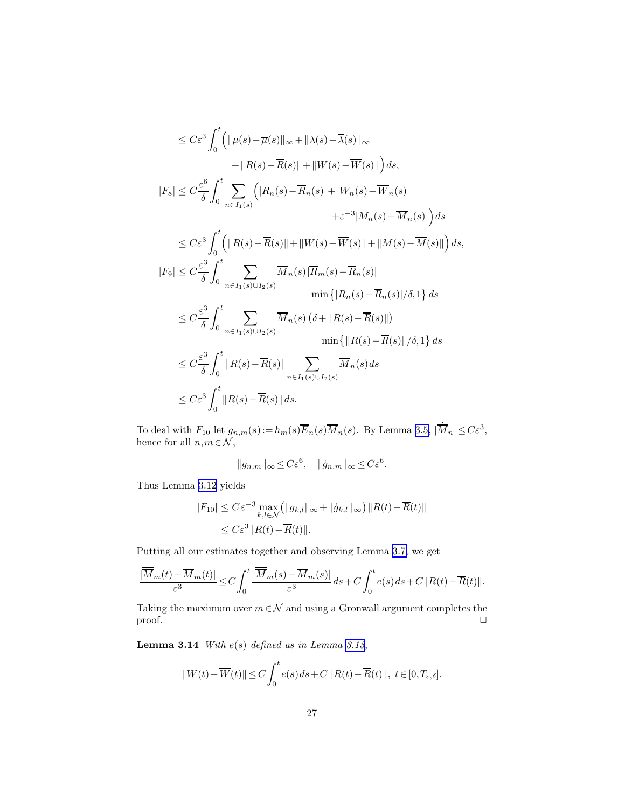<span id="page-26-0"></span>
$$
\leq C\varepsilon^{3} \int_{0}^{t} \left( \|\mu(s) - \overline{\mu}(s)\|_{\infty} + \|\lambda(s) - \overline{\lambda}(s)\|_{\infty} + \|R(s) - \overline{R}(s)\| + \|W(s) - \overline{W}(s)\| \right) ds,\n+ \|R(s) - \overline{R}(s)\| + \|W(s) - \overline{W}(s)\| \right) ds,\n|F_{8}| \leq C \frac{\varepsilon^{6}}{\delta} \int_{0}^{t} \sum_{n \in I_{1}(s)} \left( |R_{n}(s) - \overline{R}_{n}(s)| + |W_{n}(s) - \overline{W}_{n}(s)| + \varepsilon^{-3}|M_{n}(s) - \overline{M}_{n}(s)| \right) ds\n\leq C\varepsilon^{3} \int_{0}^{t} \left( \|R(s) - \overline{R}(s)\| + \|W(s) - \overline{W}(s)\| + \|M(s) - \overline{M}(s)\| \right) ds,\n|F_{9}| \leq C \frac{\varepsilon^{3}}{\delta} \int_{0}^{t} \sum_{n \in I_{1}(s) \cup I_{2}(s)} \overline{M}_{n}(s) |\overline{R}_{m}(s) - \overline{R}_{n}(s)|\n\min\left\{ |R_{n}(s) - \overline{R}_{n}(s)|/ \delta, 1 \right\} ds\n\leq C \frac{\varepsilon^{3}}{\delta} \int_{0}^{t} \sum_{n \in I_{1}(s) \cup I_{2}(s)} \overline{M}_{n}(s) (\delta + \|R(s) - \overline{R}(s)\|)\n\min\left\{ ||R(s) - \overline{R}(s)|| \right\} ds\n\leq C \varepsilon^{3} \int_{0}^{t} ||R(s) - \overline{R}(s)|| \sum_{n \in I_{1}(s) \cup I_{2}(s)} \overline{M}_{n}(s) ds\n\leq C\varepsilon^{3} \int_{0}^{t} ||R(s) - \overline{R}(s)|| ds.
$$

To deal with  $F_{10}$  let  $g_{n,m}(s) := h_m(s) \overline{K}_n(s) \overline{M}_n(s)$ . By Lemma [3.5,](#page-12-0)  $|\dot{M}_n| \leq C\varepsilon^3$ , hence for all  $n,m\!\in\!\mathcal{N},$ 

$$
||g_{n,m}||_\infty \leq C \varepsilon^6, \quad ||\dot{g}_{n,m}||_\infty \leq C \varepsilon^6.
$$

Thus Lemma [3.12](#page-22-0) yields

$$
|F_{10}| \leq C \varepsilon^{-3} \max_{k,l \in \mathcal{N}} (\|g_{k,l}\|_{\infty} + \|\dot{g}_{k,l}\|_{\infty}) \|R(t) - \overline{R}(t)\|
$$
  

$$
\leq C \varepsilon^{3} \|R(t) - \overline{R}(t)\|.
$$

Putting all our estimates together and observing Lemma [3.7,](#page-14-0) we get

$$
\frac{|\overline{\overline{M}}_m(t)-\overline{M}_m(t)|}{\varepsilon^3}\leq C\int_0^t\frac{|\overline{\overline{M}}_m(s)-\overline{M}_m(s)|}{\varepsilon^3}ds+C\int_0^te(s)\,ds+C\|R(t)-\overline{R}(t)\|.
$$

Taking the maximum over  $m \in \mathcal{N}$  and using a Gronwall argument completes the  $\Box$ 

**Lemma 3.14** With  $e(s)$  defined as in Lemma [3.13](#page-22-0),

$$
||W(t) - \overline{W}(t)|| \le C \int_0^t e(s) \, ds + C \, ||R(t) - \overline{R}(t)||, \ t \in [0, T_{\varepsilon, \delta}].
$$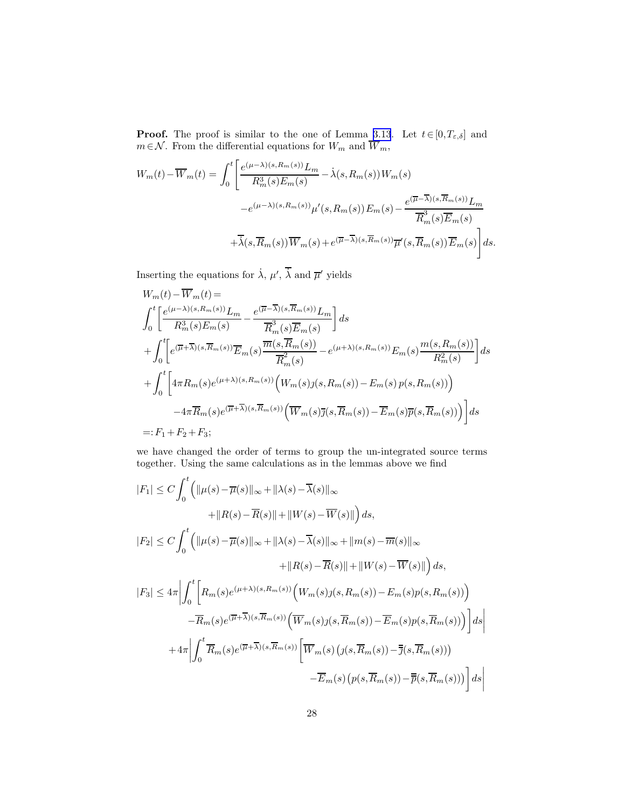**Proof.** The proof is similar to the one of Lemma [3.13](#page-22-0). Let  $t \in [0, T_{\varepsilon,\delta}]$  and  $m \in \mathcal{N}$ . From the differential equations for  $W_m$  and  $W_m$ ,

$$
W_m(t) - \overline{W}_m(t) = \int_0^t \left[ \frac{e^{(\mu - \lambda)(s, R_m(s))} L_m}{R_m^3(s) E_m(s)} - \lambda(s, R_m(s)) W_m(s) - e^{(\mu - \lambda)(s, R_m(s))} \mu'(s, R_m(s)) E_m(s) - \frac{e^{(\overline{\mu} - \overline{\lambda})(s, \overline{R}_m(s))} L_m}{\overline{R}_m^3(s) \overline{E}_m(s)} + \overline{\lambda}(s, \overline{R}_m(s)) \overline{W}_m(s) + e^{(\overline{\mu} - \overline{\lambda})(s, \overline{R}_m(s))} \overline{\mu}'(s, \overline{R}_m(s)) \overline{E}_m(s) \right] ds.
$$

Inserting the equations for  $\dot{\lambda}$ ,  $\mu'$ ,  $\dot{\lambda}$  and  $\overline{\mu}'$  yields

$$
W_m(t) - \overline{W}_m(t) =
$$
\n
$$
\int_0^t \left[ \frac{e^{(\mu - \lambda)(s, R_m(s))} L_m}{R_m^3(s) E_m(s)} - \frac{e^{(\overline{\mu} - \overline{\lambda})(s, \overline{R}_m(s))} L_m}{\overline{R}_m^3(s) \overline{E}_m(s)} \right] ds
$$
\n
$$
+ \int_0^t \left[ e^{(\overline{\mu} + \overline{\lambda})(s, \overline{R}_m(s))} \overline{E}_m(s) \frac{\overline{m}(s, \overline{R}_m(s))}{\overline{R}_m^2(s)} - e^{(\mu + \lambda)(s, R_m(s))} E_m(s) \frac{m(s, R_m(s))}{R_m^2(s)} \right] ds
$$
\n
$$
+ \int_0^t \left[ 4\pi R_m(s) e^{(\mu + \lambda)(s, R_m(s))} \left( W_m(s) j(s, R_m(s)) - E_m(s) p(s, R_m(s)) \right) - 4\pi \overline{R}_m(s) e^{(\overline{\mu} + \overline{\lambda})(s, \overline{R}_m(s))} \left( \overline{W}_m(s) \overline{j}(s, \overline{R}_m(s)) - \overline{E}_m(s) \overline{p}(s, \overline{R}_m(s)) \right) \right] ds
$$
\n
$$
=: F_1 + F_2 + F_3;
$$

we have changed the order of terms to group the un-integrated source terms together. Using the same calculations as in the lemmas above we find

$$
|F_1| \leq C \int_0^t \left( \|\mu(s) - \overline{\mu}(s)\|_{\infty} + \|\lambda(s) - \overline{\lambda}(s)\|_{\infty} + \|R(s) - \overline{R}(s)\| + \|W(s) - \overline{W}(s)\| \right) ds,
$$
  
\n
$$
|F_2| \leq C \int_0^t \left( \|\mu(s) - \overline{\mu}(s)\|_{\infty} + \|\lambda(s) - \overline{\lambda}(s)\|_{\infty} + \|m(s) - \overline{m}(s)\|_{\infty} + \|R(s) - \overline{R}(s)\| + \|W(s) - \overline{W}(s)\| \right) ds,
$$
  
\n
$$
|F_3| \leq 4\pi \left| \int_0^t \left[ R_m(s)e^{(\mu+\lambda)(s,R_m(s))} \left( W_m(s)j(s,R_m(s)) - E_m(s)p(s,R_m(s)) \right) - \overline{R}_m(s)e^{(\overline{\mu}+\overline{\lambda})(s,\overline{R}_m(s))} \left( \overline{W}_m(s)j(s,\overline{R}_m(s)) - \overline{E}_m(s)p(s,\overline{R}_m(s)) \right) \right] ds \right|
$$
  
\n
$$
+ 4\pi \left| \int_0^t \overline{R}_m(s)e^{(\overline{\mu}+\overline{\lambda})(s,\overline{R}_m(s))} \left[ \overline{W}_m(s) \left( j(s,\overline{R}_m(s)) - \overline{j}(s,\overline{R}_m(s)) \right) - \overline{E}_m(s) \left( p(s,\overline{R}_m(s)) - \overline{p}(s,\overline{R}_m(s)) \right) \right] ds \right|
$$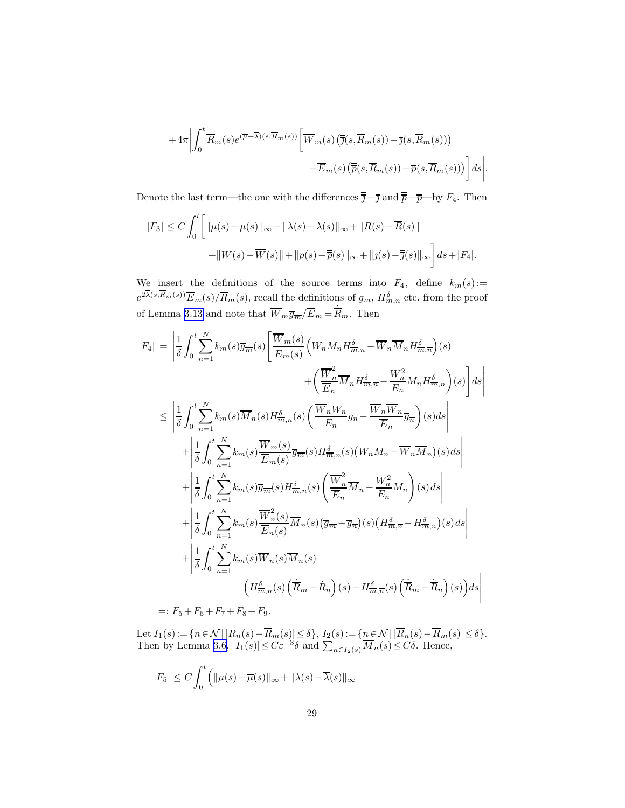$$
+4\pi \left| \int_0^t \overline{R}_m(s) e^{(\overline{\mu}+\overline{\lambda})(s,\overline{R}_m(s))} \left[ \overline{W}_m(s) \left( \overline{\overline{j}}(s,\overline{R}_m(s)) - \overline{j}(s,\overline{R}_m(s)) \right) \right. \\ \left. - \overline{E}_m(s) \left( \overline{\overline{p}}(s,\overline{R}_m(s)) - \overline{p}(s,\overline{R}_m(s)) \right) \right] ds \right|
$$

.

Denote the last term—the one with the differences  $\overline{\overline{j}}-\overline{j}$  and  $\overline{\overline{p}}-\overline{p}$ —by  $F_4$ . Then

$$
|F_3| \le C \int_0^t \left[ \|\mu(s) - \overline{\mu}(s)\|_{\infty} + \|\lambda(s) - \overline{\lambda}(s)\|_{\infty} + \|R(s) - \overline{R}(s)\| + \|W(s) - \overline{W}(s)\| + \|p(s) - \overline{\overline{p}}(s)\|_{\infty} + \|j(s) - \overline{j}(s)\|_{\infty} \right] ds + |F_4|.
$$

We insert the definitions of the source terms into  $F_4$ , define  $k_m(s)$ :=  $e^{2\lambda(s,R_m(s))}\overline{E}_m(s)/\overline{R}_m(s)$ , recall the definitions of  $g_m$ ,  $H_{m,n}^{\delta}$  etc. from the proof of Lemma [3.13](#page-22-0) and note that  $\overline{W}_m \overline{g}_{\overline{m}} / \overline{E}_m = \overline{R}_m$ . Then

$$
|F_4| = \left| \frac{1}{\delta} \int_0^t \sum_{n=1}^N k_m(s) \overline{g_m}(s) \left[ \frac{\overline{W}_m(s)}{\overline{E}_m(s)} \left( W_n M_n H_{\overline{m},n}^{\delta} - \overline{W}_n \overline{M}_n H_{\overline{m},n}^{\delta} \right) (s) \right. \\ \left. + \left( \frac{\overline{W}_n^2}{\overline{E}_n} \overline{M}_n H_{\overline{m},n}^{\delta} - \frac{W_n^2}{\overline{E}_n} M_n H_{\overline{m},n}^{\delta} \right) (s) \right] ds \right|
$$
  

$$
\leq \left| \frac{1}{\delta} \int_0^t \sum_{n=1}^N k_m(s) \overline{M}_n(s) H_{\overline{m},n}^{\delta}(s) \left( \frac{\overline{W}_n W_n}{\overline{E}_n} g_n - \frac{\overline{W}_n \overline{W}_n}{\overline{E}_n} \overline{g}_{\overline{n}} \right) (s) ds \right|
$$
  

$$
+ \left| \frac{1}{\delta} \int_0^t \sum_{n=1}^N k_m(s) \frac{\overline{W}_m(s)}{\overline{E}_m(s)} \overline{g}_{\overline{m}}(s) H_{\overline{m},n}^{\delta}(s) \left( W_n M_n - \overline{W}_n \overline{M}_n \right) (s) ds \right|
$$
  

$$
+ \left| \frac{1}{\delta} \int_0^t \sum_{n=1}^N k_m(s) \overline{g}_{\overline{m}}(s) H_{\overline{m},n}^{\delta}(s) \left( \frac{\overline{W}_n^2}{\overline{E}_n} \overline{M}_n - \frac{W_n^2}{\overline{E}_n} M_n \right) (s) ds \right|
$$
  

$$
+ \left| \frac{1}{\delta} \int_0^t \sum_{n=1}^N k_m(s) \frac{\overline{W}_n^2(s)}{\overline{E}_n(s)} \overline{M}_n(s) \left( \overline{g}_{\overline{m}} - \overline{g}_{\overline{n}} \right) (s) \left( H_{\overline{m},\overline{n}}^{\delta} - H_{\overline{m},n}^{\delta}(s) ds
$$

Let  $I_1(s) := \{n \in \mathcal{N} \mid |R_n(s) - R_m(s)| \le \delta\},\ I_2(s) := \{n \in \mathcal{N} \mid |R_n(s) - R_m(s)| \le \delta\}.$ Then by Lemma [3.6](#page-12-0),  $|I_1(s)| \leq C\varepsilon^{-3}\delta$  and  $\sum_{n \in I_2(s)} \overline{M}_n(s) \leq C\delta$ . Hence,

$$
|F_5| \le C \int_0^t \left( \|\mu(s) - \overline{\mu}(s)\|_{\infty} + \|\lambda(s) - \overline{\lambda}(s)\|_{\infty} \right)
$$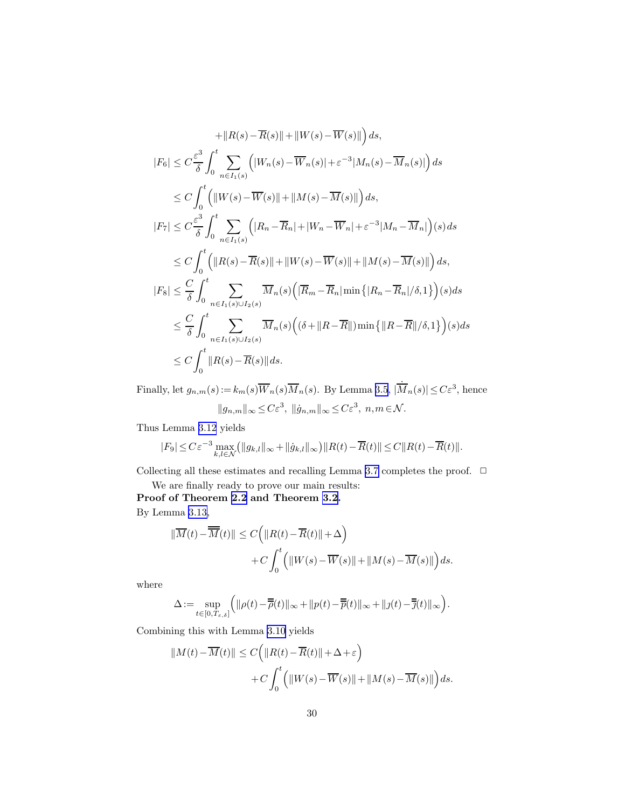$$
+||R(s) - \overline{R}(s)|| + ||W(s) - \overline{W}(s)||) ds,
$$
  
\n
$$
|F_6| \leq C \frac{\varepsilon^3}{\delta} \int_0^t \sum_{n \in I_1(s)} (|W_n(s) - \overline{W}_n(s)| + \varepsilon^{-3}|M_n(s) - \overline{M}_n(s)|) ds
$$
  
\n
$$
\leq C \int_0^t (||W(s) - \overline{W}(s)|| + ||M(s) - \overline{M}(s)||) ds,
$$
  
\n
$$
|F_7| \leq C \frac{\varepsilon^3}{\delta} \int_0^t \sum_{n \in I_1(s)} (|R_n - \overline{R}_n| + |W_n - \overline{W}_n| + \varepsilon^{-3}|M_n - \overline{M}_n|) (s) ds
$$
  
\n
$$
\leq C \int_0^t (||R(s) - \overline{R}(s)|| + ||W(s) - \overline{W}(s)|| + ||M(s) - \overline{M}(s)||) ds,
$$
  
\n
$$
|F_8| \leq \frac{C}{\delta} \int_0^t \sum_{n \in I_1(s) \cup I_2(s)} \overline{M}_n(s) (|\overline{R}_m - \overline{R}_n| \min\{|R_n - \overline{R}_n|/\delta, 1\}) (s) ds
$$
  
\n
$$
\leq \frac{C}{\delta} \int_0^t \sum_{n \in I_1(s) \cup I_2(s)} \overline{M}_n(s) ((\delta + ||R - \overline{R}||) \min\{|R - \overline{R}||/\delta, 1\}) (s) ds
$$
  
\n
$$
\leq C \int_0^t ||R(s) - \overline{R}(s)|| ds.
$$

Finally, let  $g_{n,m}(s) := k_m(s) \overline{W}_n(s) \overline{M}_n(s)$ . By Lemma [3.5](#page-12-0),  $|\dot{M}_n(s)| \leq C \varepsilon^3$ , hence  $||g_{n,m}||_{\infty} \leq C\varepsilon^3$ ,  $||\dot{g}_{n,m}||_{\infty} \leq C\varepsilon^3$ ,  $n,m \in \mathcal{N}$ .

Thus Lemma [3.12](#page-22-0) yields

$$
|F_9| \leq C \varepsilon^{-3} \max_{k,l \in \mathcal{N}} \left( \|g_{k,l}\|_{\infty} + \|\dot{g}_{k,l}\|_{\infty} \right) \left\| R(t) - \overline{R}(t) \right\| \leq C \left\| R(t) - \overline{R}(t) \right\|.
$$

Collecting all these estimates and recalling Lemma [3.7](#page-14-0) completes the proof.  $\ \Box$ 

We are finally ready to prove our main results: Proof of Theorem [2.2](#page-9-0) and Theorem [3.2](#page-10-0).

By Lemma [3.13,](#page-22-0)

$$
\begin{aligned} \|\overline{M}(t) - \overline{\overline{M}}(t)\| &\leq C \Big( \|R(t) - \overline{R}(t)\| + \Delta \Big) \\ &+ C \int_0^t \Big( \|W(s) - \overline{W}(s)\| + \|M(s) - \overline{M}(s)\| \Big) ds. \end{aligned}
$$

where

$$
\Delta:=\sup_{t\in[0,T_{\varepsilon,\delta}]}\Big(\|\rho(t)-\overline{\overline{\rho}}(t)\|_\infty+\|p(t)-\overline{\overline{p}}(t)\|_\infty+\|j(t)-\overline{\overline{j}}(t)\|_\infty\Big)
$$

.

Combining this with Lemma [3.10](#page-20-0) yields

$$
||M(t) - \overline{M}(t)|| \le C \Big( ||R(t) - \overline{R}(t)|| + \Delta + \varepsilon \Big) + C \int_0^t \Big( ||W(s) - \overline{W}(s)|| + ||M(s) - \overline{M}(s)|| \Big) ds.
$$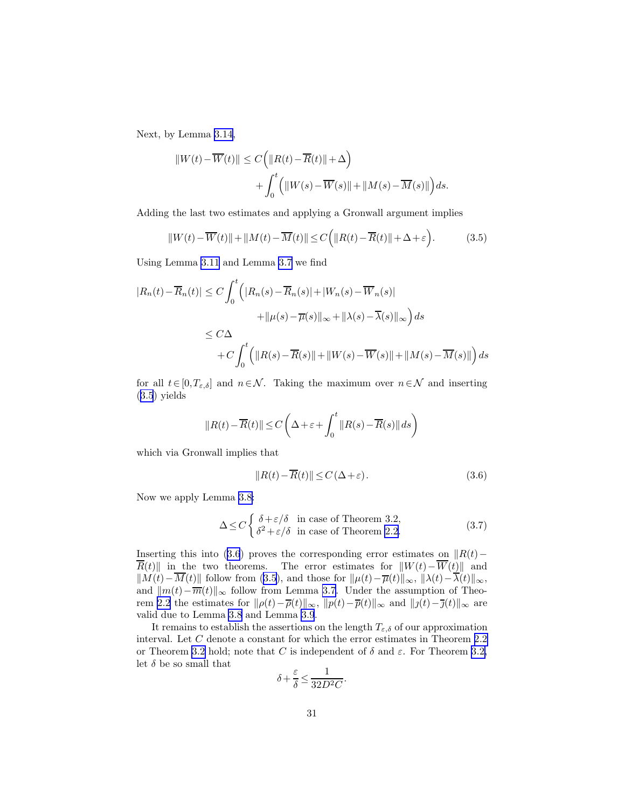Next, by Lemma [3.14](#page-26-0),

$$
||W(t) - \overline{W}(t)|| \le C \left( ||R(t) - \overline{R}(t)|| + \Delta \right) + \int_0^t \left( ||W(s) - \overline{W}(s)|| + ||M(s) - \overline{M}(s)|| \right) ds.
$$

Adding the last two estimates and applying a Gronwall argument implies

$$
||W(t) - \overline{W}(t)|| + ||M(t) - \overline{M}(t)|| \le C\Big(||R(t) - \overline{R}(t)|| + \Delta + \varepsilon\Big).
$$
 (3.5)

Using Lemma [3.11](#page-21-0) and Lemma [3.7](#page-14-0) we find

$$
|R_n(t) - \overline{R}_n(t)| \le C \int_0^t \left( |R_n(s) - \overline{R}_n(s)| + |W_n(s) - \overline{W}_n(s)| + ||\mu(s) - \overline{\mu}(s)||_{\infty} + ||\lambda(s) - \overline{\lambda}(s)||_{\infty} \right) ds
$$
  
\n
$$
\le C\Delta + C \int_0^t \left( ||R(s) - \overline{R}(s)|| + ||W(s) - \overline{W}(s)|| + ||M(s) - \overline{M}(s)|| \right) ds
$$

for all  $t \in [0, T_{\varepsilon,\delta}]$  and  $n \in \mathcal{N}$ . Taking the maximum over  $n \in \mathcal{N}$  and inserting (3.5) yields

$$
||R(t) - \overline{R}(t)|| \le C\left(\Delta + \varepsilon + \int_0^t ||R(s) - \overline{R}(s)|| ds\right)
$$

which via Gronwall implies that

$$
||R(t) - \overline{R}(t)|| \le C(\Delta + \varepsilon). \tag{3.6}
$$

Now we apply Lemma [3.8:](#page-17-0)

$$
\Delta \le C \begin{cases} \delta + \varepsilon/\delta & \text{in case of Theorem 3.2,} \\ \delta^2 + \varepsilon/\delta & \text{in case of Theorem 2.2.} \end{cases}
$$
 (3.7)

Inserting this into (3.6) proves the corresponding error estimates on  $\|R(t)-\|R(t)$  $\overline{R}(t)$ || in the two theorems. The error estimates for  $||W(t)-\overline{W}(t)||$  and  $||M(t)-\overline{M}(t)||$  follow from (3.5), and those for  $||\mu(t)-\overline{\mu}(t)||_{\infty}$ ,  $||\lambda(t)-\overline{\lambda}(t)||_{\infty}$ , and  $||m(t)-\overline{m}(t)||_{\infty}$  follow from Lemma [3.7](#page-14-0). Under the assumption of Theo-rem [2.2](#page-9-0) the estimates for  $\|\rho(t)-\overline{\rho}(t)\|_{\infty}$ ,  $\|p(t)-\overline{p}(t)\|_{\infty}$  and  $\|j(t)-\overline{j}(t)\|_{\infty}$  are valid due to Lemma [3.8](#page-17-0) and Lemma [3.9](#page-20-0).

It remains to establish the assertions on the length  $T_{\varepsilon,\delta}$  of our approximation interval. Let  $C$  denote a constant for which the error estimates in Theorem [2.2](#page-9-0) or Theorem [3.2](#page-10-0) hold; note that C is independent of  $\delta$  and  $\varepsilon$ . For Theorem [3.2,](#page-10-0) let  $\delta$  be so small that

$$
\delta + \frac{\varepsilon}{\delta} \le \frac{1}{32D^2C}.
$$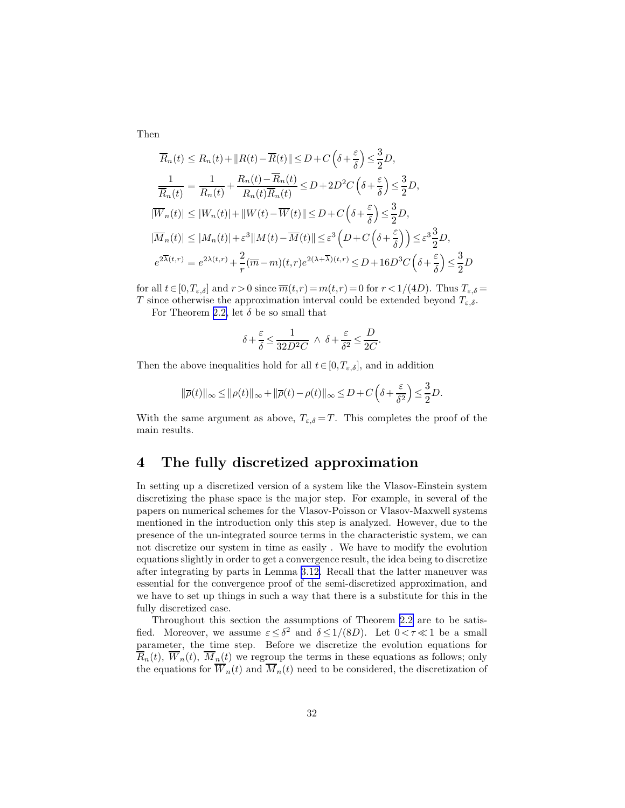Then

$$
\overline{R}_n(t) \le R_n(t) + \|R(t) - \overline{R}(t)\| \le D + C\left(\delta + \frac{\varepsilon}{\delta}\right) \le \frac{3}{2}D,
$$
\n
$$
\frac{1}{\overline{R}_n(t)} = \frac{1}{R_n(t)} + \frac{R_n(t) - \overline{R}_n(t)}{R_n(t)\overline{R}_n(t)} \le D + 2D^2C\left(\delta + \frac{\varepsilon}{\delta}\right) \le \frac{3}{2}D,
$$
\n
$$
|\overline{W}_n(t)| \le |W_n(t)| + \|W(t) - \overline{W}(t)\| \le D + C\left(\delta + \frac{\varepsilon}{\delta}\right) \le \frac{3}{2}D,
$$
\n
$$
|\overline{M}_n(t)| \le |M_n(t)| + \varepsilon^3 \|M(t) - \overline{M}(t)\| \le \varepsilon^3 \left(D + C\left(\delta + \frac{\varepsilon}{\delta}\right)\right) \le \varepsilon^3 \frac{3}{2}D,
$$
\n
$$
e^{2\overline{\lambda}(t,r)} = e^{2\lambda(t,r)} + \frac{2}{r}(\overline{m} - m)(t,r)e^{2(\lambda + \overline{\lambda})(t,r)} \le D + 16D^3C\left(\delta + \frac{\varepsilon}{\delta}\right) \le \frac{3}{2}D
$$

for all  $t \in [0, T_{\varepsilon,\delta}]$  and  $r > 0$  since  $\overline{m}(t,r) = m(t,r) = 0$  for  $r < 1/(4D)$ . Thus  $T_{\varepsilon,\delta} =$ T since otherwise the approximation interval could be extended beyond  $T_{\varepsilon,\delta}$ .

For Theorem [2.2,](#page-9-0) let  $\delta$  be so small that

$$
\delta+\frac{\varepsilon}{\delta}\leq \frac{1}{32D^2C}\;\wedge\;\delta+\frac{\varepsilon}{\delta^2}\leq \frac{D}{2C}.
$$

Then the above inequalities hold for all  $t \in [0, T_{\varepsilon,\delta}]$ , and in addition

$$
\|\overline{\rho}(t)\|_{\infty} \le \|\rho(t)\|_{\infty} + \|\overline{\rho}(t) - \rho(t)\|_{\infty} \le D + C\left(\delta + \frac{\varepsilon}{\delta^2}\right) \le \frac{3}{2}D.
$$

With the same argument as above,  $T_{\varepsilon,\delta} = T$ . This completes the proof of the main results.

## 4 The fully discretized approximation

In setting up a discretized version of a system like the Vlasov-Einstein system discretizing the phase space is the major step. For example, in several of the papers on numerical schemes for the Vlasov-Poisson or Vlasov-Maxwell systems mentioned in the introduction only this step is analyzed. However, due to the presence of the un-integrated source terms in the characteristic system, we can not discretize our system in time as easily . We have to modify the evolution equations slightly in order to get a convergence result, the idea being to discretize after integrating by parts in Lemma [3.12.](#page-22-0) Recall that the latter maneuver was essential for the convergence proof of the semi-discretized approximation, and we have to set up things in such a way that there is a substitute for this in the fully discretized case.

Throughout this section the assumptions of Theorem [2.2](#page-9-0) are to be satisfied. Moreover, we assume  $\varepsilon \leq \delta^2$  and  $\delta \leq 1/(8D)$ . Let  $0 < \tau \ll 1$  be a small parameter, the time step. Before we discretize the evolution equations for  $\overline{R}_n(t)$ ,  $\overline{W}_n(t)$ ,  $\overline{M}_n(t)$  we regroup the terms in these equations as follows; only the equations for  $\overline{W}_n(t)$  and  $\overline{M}_n(t)$  need to be considered, the discretization of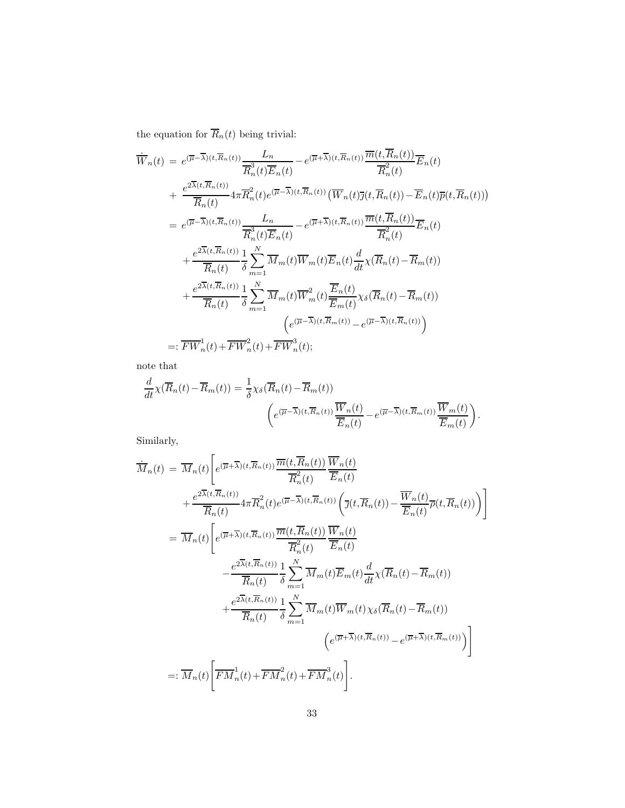the equation for  $\overline{R}_n(t)$  being trivial:

$$
\overline{W}_{n}(t) = e^{(\overline{\mu}-\overline{\lambda})(t,\overline{R}_{n}(t))} \frac{L_{n}}{\overline{R}_{n}^{3}(t)\overline{E}_{n}(t)} - e^{(\overline{\mu}+\overline{\lambda})(t,\overline{R}_{n}(t))} \frac{\overline{m}(t,R_{n}(t))}{\overline{R}_{n}^{2}(t)} \overline{E}_{n}(t) \n+ \frac{e^{2\overline{\lambda}(t,\overline{R}_{n}(t))}}{\overline{R}_{n}(t)} 4\pi \overline{R}_{n}^{2}(t)e^{(\overline{\mu}-\overline{\lambda})(t,\overline{R}_{n}(t))} (\overline{W}_{n}(t)\overline{\jmath}(t,\overline{R}_{n}(t)) - \overline{E}_{n}(t)\overline{p}(t,\overline{R}_{n}(t))) \n= e^{(\overline{\mu}-\overline{\lambda})(t,\overline{R}_{n}(t))} \frac{L_{n}}{\overline{R}_{n}^{3}(t)\overline{E}_{n}(t)} - e^{(\overline{\mu}+\overline{\lambda})(t,\overline{R}_{n}(t))} \frac{\overline{m}(t,\overline{R}_{n}(t))}{\overline{R}_{n}^{2}(t)} \overline{E}_{n}(t) \n+ \frac{e^{2\overline{\lambda}(t,\overline{R}_{n}(t))}}{\overline{R}_{n}(t)} \frac{1}{\delta} \sum_{m=1}^{N} \overline{M}_{m}(t) \overline{W}_{m}(t) \overline{E}_{n}(t) \frac{d}{dt} \chi(\overline{R}_{n}(t) - \overline{R}_{m}(t)) \n+ \frac{e^{2\overline{\lambda}(t,\overline{R}_{n}(t))}}{\overline{R}_{n}(t)} \frac{1}{\delta} \sum_{m=1}^{N} \overline{M}_{m}(t) \overline{W}_{m}^{2}(t) \frac{\overline{E}_{n}(t)}{\overline{E}_{m}(t)} \chi_{\delta}(\overline{R}_{n}(t) - \overline{R}_{m}(t)) \n- e^{(\overline{\mu}-\overline{\lambda})(t,\overline{R}_{m}(t))} - e^{(\overline{\mu}-\overline{\lambda})(t,\overline{R}_{n}(t))}) \tag{e^{(\overline{\mu}-\overline{\lambda})(t,\overline{R}_{m}(t))} - e^{(\overline{\mu}-\overline{\lambda})(t,\overline{R}_{n}(t))})
$$

note that

$$
\frac{d}{dt}\chi(\overline{R}_n(t) - \overline{R}_m(t)) = \frac{1}{\delta}\chi_\delta(\overline{R}_n(t) - \overline{R}_m(t))
$$
\n
$$
\left(e^{(\overline{\mu}-\overline{\lambda})(t,\overline{R}_n(t))}\frac{\overline{W}_n(t)}{\overline{E}_n(t)} - e^{(\overline{\mu}-\overline{\lambda})(t,\overline{R}_m(t))}\frac{\overline{W}_m(t)}{\overline{E}_m(t)}\right).
$$

Similarly,

$$
\dot{M}_{n}(t) = \overline{M}_{n}(t) \left[ e^{(\overline{\mu} + \overline{\lambda})(t, \overline{R}_{n}(t))} \overline{m}(t, \overline{R}_{n}(t)) \overline{W}_{n}(t) + \frac{e^{2\overline{\lambda}(t, \overline{R}_{n}(t))}}{\overline{R}_{n}(t)} \overline{R}_{n}(t) e^{(\overline{\mu} - \overline{\lambda})(t, \overline{R}_{n}(t))} \left( \overline{\jmath}(t, \overline{R}_{n}(t)) - \overline{W}_{n}(t) \overline{P}(t, \overline{R}_{n}(t)) \right) \right]
$$
\n
$$
= \overline{M}_{n}(t) \left[ e^{(\overline{\mu} + \overline{\lambda})(t, \overline{R}_{n}(t))} \overline{m}(t, \overline{R}_{n}(t)) \overline{W}_{n}(t) - \frac{e^{2\overline{\lambda}(t, \overline{R}_{n}(t))} \overline{m}(t, \overline{R}_{n}(t))}{\overline{R}_{n}^{2}(t)} \overline{E}_{n}(t) - \frac{e^{2\overline{\lambda}(t, \overline{R}_{n}(t))} \overline{W}_{n}(t)}{\overline{R}_{n}(t)} \overline{B}_{n}(t) \overline{E}_{n}(t) \overline{W}_{n}(t) \overline{W}_{n}(t) \overline{W}_{n}(t) - \overline{R}_{m}(t)) \right]
$$
\n
$$
+ \frac{e^{2\overline{\lambda}(t, \overline{R}_{n}(t))} \overline{W}_{n}(t)}{\overline{R}_{n}(t)} \frac{1}{\delta} \sum_{m=1}^{N} \overline{M}_{m}(t) \overline{W}_{m}(t) \chi_{\delta}(\overline{R}_{n}(t) - \overline{R}_{m}(t)) - \left( e^{(\overline{\mu} + \overline{\lambda})(t, \overline{R}_{n}(t))} - e^{(\overline{\mu} + \overline{\lambda})(t, \overline{R}_{m}(t))} \right) \right]
$$
\n
$$
=: \overline{M}_{n}(t) \left[ \overline{F M}_{n}^{1}(t) + \overline{F M}_{n}^{2}(t) + \overline{F M}_{n}^{3}(t) \right].
$$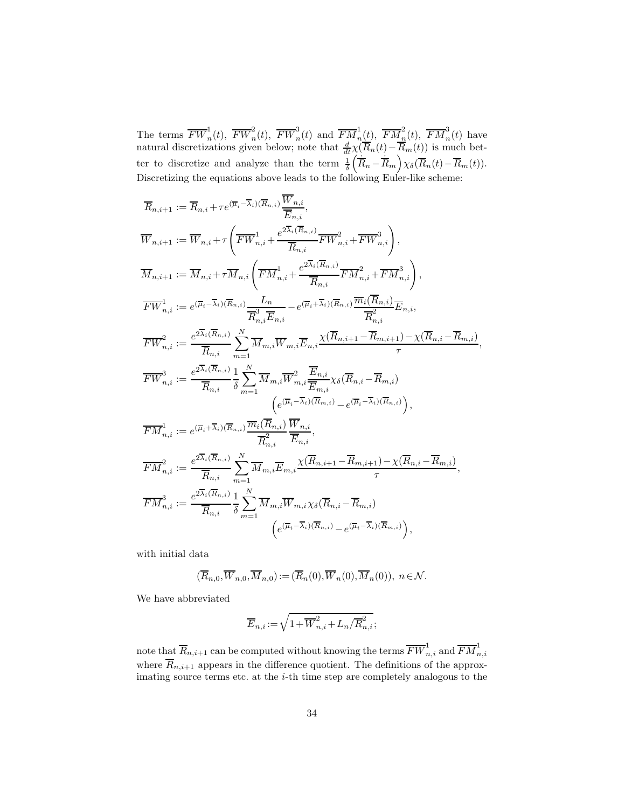The terms  $\overline{FW}_n^1(t)$ ,  $\overline{FW}_n^2(t)$ ,  $\overline{FW}_n^3(t)$  and  $\overline{FM}_n^1(t)$ ,  $\overline{FM}_n^2(t)$ ,  $\overline{FM}_n^3(t)$  have natural discretizations given below; note that  $\frac{d}{dt}\chi(\overline{R}_n(t)-\overline{R}_m(t))$  is much better to discretize and analyze than the term  $\frac{1}{\delta}$  $\left(\dot{\overline{R}}_n - \dot{\overline{R}}_m\right) \chi_{\delta}(\overline{R}_n(t) - \overline{R}_m(t)).$ Discretizing the equations above leads to the following Euler-like scheme:

$$
\overline{R}_{n,i+1} := \overline{R}_{n,i} + \tau e^{(\overline{\mu}_i - \overline{\lambda}_i)(\overline{R}_{n,i})} \frac{\overline{W}_{n,i}}{\overline{E}_{n,i}},
$$
\n
$$
\overline{W}_{n,i+1} := \overline{W}_{n,i} + \tau \left( \overline{FW}_{n,i}^{1} + \frac{e^{2\overline{\lambda}_i(\overline{R}_{n,i})}}{\overline{R}_{n,i}} \overline{FW}_{n,i}^{2} + \overline{FW}_{n,i}^{3} \right),
$$
\n
$$
\overline{M}_{n,i+1} := \overline{M}_{n,i} + \tau \overline{M}_{n,i} \left( \overline{FM}_{n,i}^{1} + \frac{e^{2\overline{\lambda}_i(\overline{R}_{n,i})}}{\overline{R}_{n,i}} \overline{FM}_{n,i}^{2} + \overline{FM}_{n,i}^{3} \right),
$$
\n
$$
\overline{FW}_{n,i}^{1} := e^{(\overline{\mu}_i - \overline{\lambda}_i)(\overline{R}_{n,i})} \frac{L_n}{\overline{R}_{n,i}^{3} \overline{E}_{n,i}} - e^{(\overline{\mu}_i + \overline{\lambda}_i)(\overline{R}_{n,i})} \overline{m}_{n,i}^{2} (\overline{R}_{n,i})} \overline{R}_{n,i}^{2},
$$
\n
$$
\overline{FW}_{n,i}^{2} := \frac{e^{2\overline{\lambda}_i(\overline{R}_{n,i})}}{\overline{R}_{n,i}} \sum_{m=1}^{N} \overline{M}_{m,i} \overline{W}_{m,i} \overline{E}_{n,i} \frac{\chi(\overline{R}_{n,i+1} - \overline{R}_{m,i+1}) - \chi(\overline{R}_{n,i} - \overline{R}_{m,i})}{\tau},
$$
\n
$$
\overline{FW}_{n,i}^{3} := \frac{e^{2\overline{\lambda}_i(\overline{R}_{n,i})}}{\overline{R}_{n,i}} \frac{1}{\sigma} \sum_{m=1}^{N} \overline{M}_{m,i} \overline{W}_{m,i}^{2} \overline{E}_{n,i} \chi_{\delta}(\overline{R}_{n,i} - \overline{R}_{m,i})
$$
\n
$$
\left( e^{(\overline{\mu}_i - \overline{\lambda}_i)(\overline{R}_{n,i})} - e^{(\overline{\mu}_i
$$

with initial data

$$
(\overline{R}_{n,0},\overline{W}_{n,0},\overline{M}_{n,0}):=(\overline{R}_n(0),\overline{W}_n(0),\overline{M}_n(0)),\ n\in\mathcal{N}.
$$

We have abbreviated

$$
\overline{E}_{n,i}:=\sqrt{1+\overline{W}^2_{n,i}+L_n/\overline{R}^2_{n,i}};
$$

note that  $\overline{R}_{n,i+1}$  can be computed without knowing the terms  $\overline{FW}_{n,i}^{1}$  and  $\overline{FM}_{n,i}^{1}$ where  $\overline{R}_{n,i+1}$  appears in the difference quotient. The definitions of the approximating source terms etc. at the i-th time step are completely analogous to the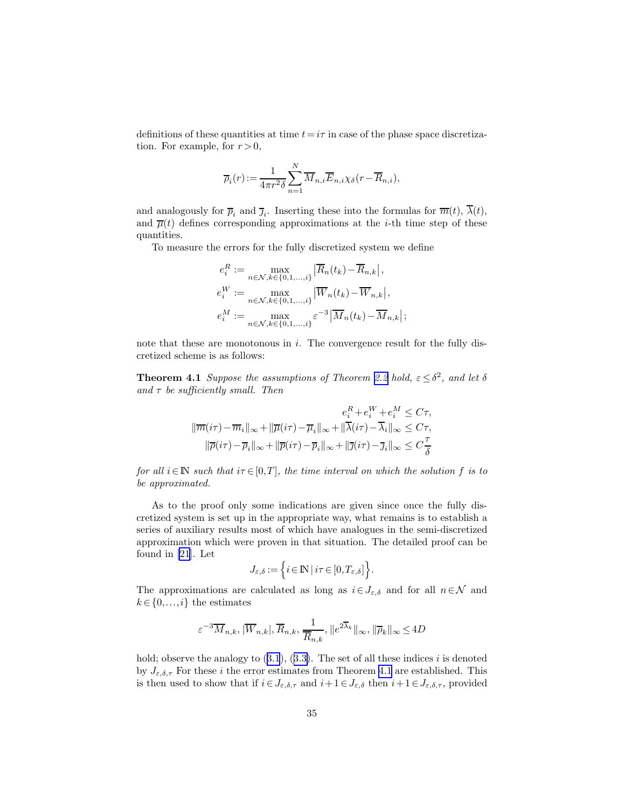definitions of these quantities at time  $t=i\tau$  in case of the phase space discretization. For example, for  $r > 0$ ,

$$
\overline{\rho}_i(r) := \frac{1}{4\pi r^2 \delta} \sum_{n=1}^N \overline{M}_{n,i} \overline{E}_{n,i} \chi_{\delta}(r - \overline{R}_{n,i}),
$$

and analogously for  $\overline{p}_i$  and  $\overline{j}_i$ . Inserting these into the formulas for  $\overline{m}(t)$ ,  $\lambda(t)$ , and  $\overline{\mu}(t)$  defines corresponding approximations at the *i*-th time step of these quantities.

To measure the errors for the fully discretized system we define

$$
e_i^R := \max_{n \in \mathcal{N}, k \in \{0, 1, \dots, i\}} \left| \overline{R}_n(t_k) - \overline{R}_{n,k} \right|,
$$
  
\n
$$
e_i^W := \max_{n \in \mathcal{N}, k \in \{0, 1, \dots, i\}} \left| \overline{W}_n(t_k) - \overline{W}_{n,k} \right|,
$$
  
\n
$$
e_i^M := \max_{n \in \mathcal{N}, k \in \{0, 1, \dots, i\}} \varepsilon^{-3} \left| \overline{M}_n(t_k) - \overline{M}_{n,k} \right|;
$$

note that these are monotonous in  $i$ . The convergence result for the fully discretized scheme is as follows:

**Theorem 4.1** Suppose the assumptions of Theorem [2.2](#page-9-0) hold,  $\varepsilon \leq \delta^2$ , and let  $\delta$ and  $\tau$  be sufficiently small. Then

$$
e_i^R + e_i^W + e_i^M \le C\tau,
$$
  

$$
\|\overline{m}(i\tau) - \overline{m}_i\|_{\infty} + \|\overline{\mu}(i\tau) - \overline{\mu}_i\|_{\infty} + \|\overline{\lambda}(i\tau) - \overline{\lambda}_i\|_{\infty} \le C\tau,
$$
  

$$
\|\overline{\rho}(i\tau) - \overline{\rho}_i\|_{\infty} + \|\overline{p}(i\tau) - \overline{p}_i\|_{\infty} + \|\overline{\jmath}(i\tau) - \overline{\jmath}_i\|_{\infty} \le C\frac{\tau}{\delta}
$$

for all  $i \in \mathbb{N}$  such that  $i \tau \in [0,T]$ , the time interval on which the solution f is to be approximated.

As to the proof only some indications are given since once the fully discretized system is set up in the appropriate way, what remains is to establish a series of auxiliary results most of which have analogues in the semi-discretized approximation which were proven in that situation. The detailed proof can be found in [\[21](#page-36-0)]. Let

$$
J_{\varepsilon,\delta}:=\Big\{i\in\mathrm{I\!N}\,|\,i\tau\in[0,T_{\varepsilon,\delta}]\Big\}.
$$

The approximations are calculated as long as  $i \in J_{\varepsilon,\delta}$  and for all  $n \in \mathcal{N}$  and  $k \in \{0, \ldots, i\}$  the estimates

$$
\varepsilon^{-3}\overline{M}_{n,k}, |\overline{W}_{n,k}|, \overline{R}_{n,k}, \frac{1}{\overline{R}_{n,k}}, \|e^{2\overline{\lambda}_k}\|_{\infty}, \|\overline{\rho}_k\|_{\infty} \le 4D
$$

hold;observe the analogy to  $(3.1)$  $(3.1)$  $(3.1)$ ,  $(3.3)$  $(3.3)$ . The set of all these indices i is denoted by  $J_{\varepsilon,\delta,\tau}$  For these i the error estimates from Theorem 4.1 are established. This is then used to show that if  $i \in J_{\varepsilon,\delta,\tau}$  and  $i+1 \in J_{\varepsilon,\delta}$  then  $i+1 \in J_{\varepsilon,\delta,\tau}$ , provided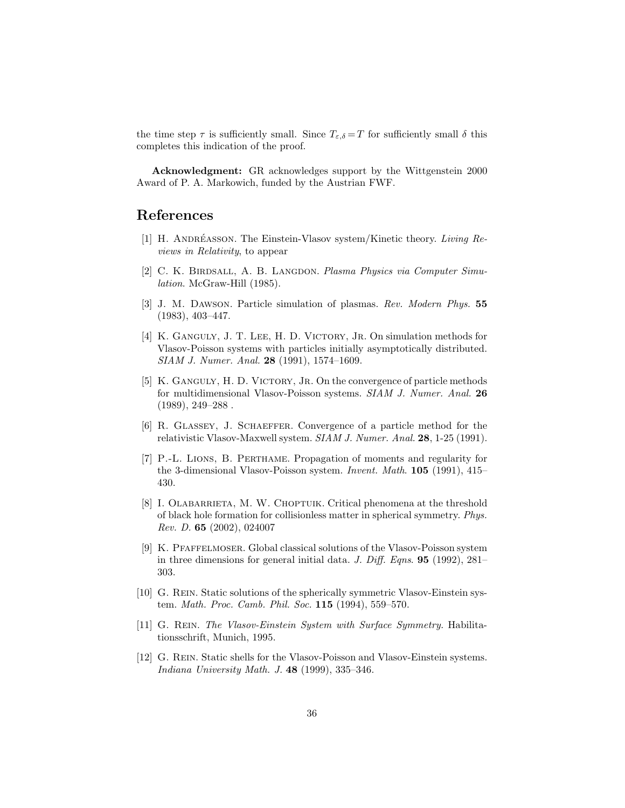<span id="page-35-0"></span>the time step  $\tau$  is sufficiently small. Since  $T_{\varepsilon,\delta} = T$  for sufficiently small  $\delta$  this completes this indication of the proof.

Acknowledgment: GR acknowledges support by the Wittgenstein 2000 Award of P. A. Markowich, funded by the Austrian FWF.

## References

- [1] H. ANDRÉASSON. The Einstein-Vlasov system/Kinetic theory. Living Reviews in Relativity, to appear
- [2] C. K. BIRDSALL, A. B. LANGDON. Plasma Physics via Computer Simulation. McGraw-Hill (1985).
- [3] J. M. Dawson. Particle simulation of plasmas. Rev. Modern Phys. 55 (1983), 403–447.
- [4] K. Ganguly, J. T. Lee, H. D. Victory, Jr. On simulation methods for Vlasov-Poisson systems with particles initially asymptotically distributed. SIAM J. Numer. Anal. 28 (1991), 1574–1609.
- [5] K. GANGULY, H. D. VICTORY, JR. On the convergence of particle methods for multidimensional Vlasov-Poisson systems. SIAM J. Numer. Anal. 26  $(1989), 249-288$ .
- [6] R. Glassey, J. Schaeffer. Convergence of a particle method for the relativistic Vlasov-Maxwell system. SIAM J. Numer. Anal. 28, 1-25 (1991).
- [7] P.-L. Lions, B. Perthame. Propagation of moments and regularity for the 3-dimensional Vlasov-Poisson system. Invent. Math. 105 (1991), 415– 430.
- [8] I. OLABARRIETA, M. W. CHOPTUIK. Critical phenomena at the threshold of black hole formation for collisionless matter in spherical symmetry. Phys. Rev. D. 65 (2002), 024007
- [9] K. Pfaffelmoser. Global classical solutions of the Vlasov-Poisson system in three dimensions for general initial data. J. Diff. Eqns. **95** (1992), 281– 303.
- [10] G. Rein. Static solutions of the spherically symmetric Vlasov-Einstein system. Math. Proc. Camb. Phil. Soc. 115 (1994), 559–570.
- [11] G. Rein. The Vlasov-Einstein System with Surface Symmetry. Habilitationsschrift, Munich, 1995.
- [12] G. Rein. Static shells for the Vlasov-Poisson and Vlasov-Einstein systems. Indiana University Math. J. 48 (1999), 335–346.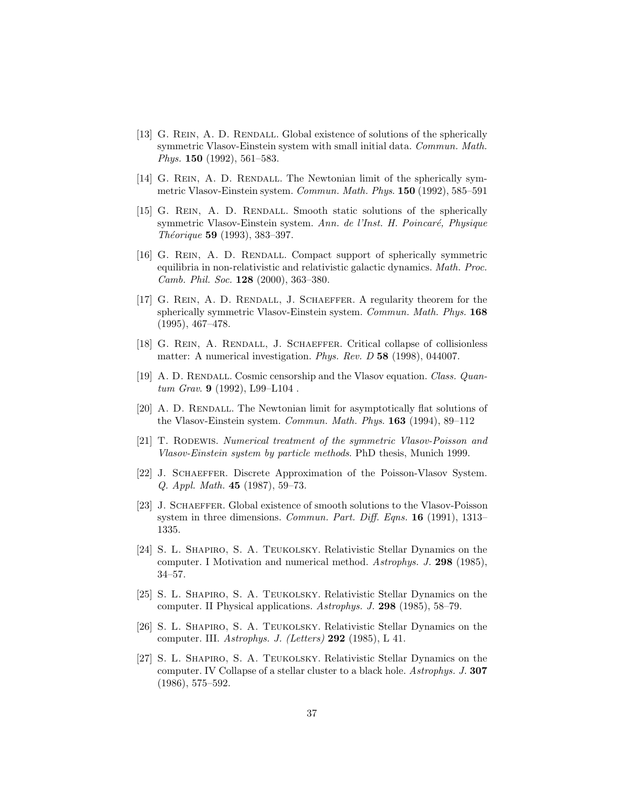- <span id="page-36-0"></span>[13] G. REIN, A. D. RENDALL. Global existence of solutions of the spherically symmetric Vlasov-Einstein system with small initial data. Commun. Math. Phys. 150 (1992), 561–583.
- [14] G. REIN, A. D. RENDALL. The Newtonian limit of the spherically symmetric Vlasov-Einstein system. Commun. Math. Phys. 150 (1992), 585–591
- [15] G. Rein, A. D. Rendall. Smooth static solutions of the spherically symmetric Vlasov-Einstein system. Ann. de l'Inst. H. Poincaré, Physique Théorique 59 (1993), 383-397.
- [16] G. Rein, A. D. Rendall. Compact support of spherically symmetric equilibria in non-relativistic and relativistic galactic dynamics. Math. Proc. Camb. Phil. Soc. 128 (2000), 363–380.
- [17] G. REIN, A. D. RENDALL, J. SCHAEFFER. A regularity theorem for the spherically symmetric Vlasov-Einstein system. Commun. Math. Phys. 168 (1995), 467–478.
- [18] G. REIN, A. RENDALL, J. SCHAEFFER. Critical collapse of collisionless matter: A numerical investigation. Phys. Rev. D 58 (1998), 044007.
- [19] A. D. RENDALL. Cosmic censorship and the Vlasov equation. Class. Quantum Grav. **9** (1992), L99-L104.
- [20] A. D. RENDALL. The Newtonian limit for asymptotically flat solutions of the Vlasov-Einstein system. Commun. Math. Phys. 163 (1994), 89–112
- [21] T. Rodewis. Numerical treatment of the symmetric Vlasov-Poisson and Vlasov-Einstein system by particle methods. PhD thesis, Munich 1999.
- [22] J. Schaeffer. Discrete Approximation of the Poisson-Vlasov System. Q. Appl. Math. 45 (1987), 59–73.
- [23] J. SCHAEFFER. Global existence of smooth solutions to the Vlasov-Poisson system in three dimensions. Commun. Part. Diff. Eqns. 16 (1991), 1313– 1335.
- [24] S. L. Shapiro, S. A. Teukolsky. Relativistic Stellar Dynamics on the computer. I Motivation and numerical method. Astrophys. J. 298 (1985), 34–57.
- [25] S. L. Shapiro, S. A. Teukolsky. Relativistic Stellar Dynamics on the computer. II Physical applications. Astrophys. J. 298 (1985), 58–79.
- [26] S. L. Shapiro, S. A. Teukolsky. Relativistic Stellar Dynamics on the computer. III. Astrophys. J. (Letters) 292 (1985), L 41.
- [27] S. L. Shapiro, S. A. Teukolsky. Relativistic Stellar Dynamics on the computer. IV Collapse of a stellar cluster to a black hole. Astrophys. J. 307 (1986), 575–592.